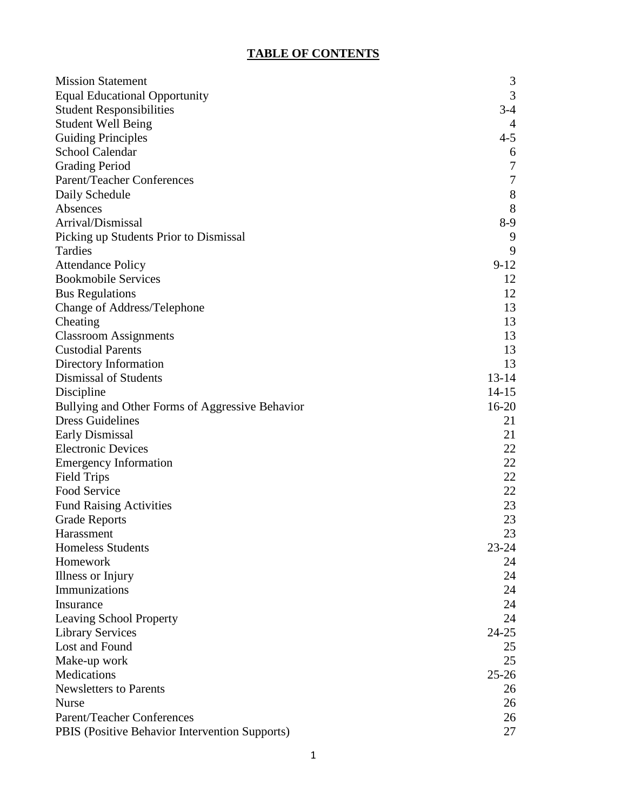# **TABLE OF CONTENTS**

| <b>Mission Statement</b>                        | 3                |
|-------------------------------------------------|------------------|
| <b>Equal Educational Opportunity</b>            | 3                |
| <b>Student Responsibilities</b>                 | $3-4$            |
| <b>Student Well Being</b>                       | $\overline{4}$   |
| <b>Guiding Principles</b>                       | $4 - 5$          |
| <b>School Calendar</b>                          | 6                |
| <b>Grading Period</b>                           | $\boldsymbol{7}$ |
| Parent/Teacher Conferences                      | $\boldsymbol{7}$ |
| Daily Schedule                                  | $8\,$            |
| Absences                                        | 8                |
| Arrival/Dismissal                               | $8-9$            |
| Picking up Students Prior to Dismissal          | 9                |
| Tardies                                         | 9                |
| <b>Attendance Policy</b>                        | $9-12$           |
| <b>Bookmobile Services</b>                      | 12               |
| <b>Bus Regulations</b>                          | 12               |
| Change of Address/Telephone                     | 13               |
| Cheating                                        | 13               |
| <b>Classroom Assignments</b>                    | 13               |
| <b>Custodial Parents</b>                        | 13               |
| Directory Information                           | 13               |
| Dismissal of Students                           | $13 - 14$        |
| Discipline                                      | $14 - 15$        |
| Bullying and Other Forms of Aggressive Behavior | $16-20$          |
| <b>Dress Guidelines</b>                         | 21               |
| <b>Early Dismissal</b>                          | 21               |
| <b>Electronic Devices</b>                       | 22               |
| <b>Emergency Information</b>                    | 22               |
| <b>Field Trips</b>                              | 22               |
| Food Service                                    | 22               |
| <b>Fund Raising Activities</b>                  | 23               |
| <b>Grade Reports</b>                            | 23               |
| Harassment                                      | 23               |
| <b>Homeless Students</b>                        | $23 - 24$        |
| Homework                                        | 24               |
| Illness or Injury                               | 24               |
| Immunizations                                   | 24               |
| Insurance                                       | 24               |
| <b>Leaving School Property</b>                  | 24               |
| <b>Library Services</b>                         | $24 - 25$        |
| Lost and Found                                  | 25               |
| Make-up work                                    | 25               |
| Medications                                     | $25 - 26$        |
| <b>Newsletters to Parents</b>                   | 26               |
| <b>Nurse</b>                                    | 26               |
| <b>Parent/Teacher Conferences</b>               | 26               |
| PBIS (Positive Behavior Intervention Supports)  | 27               |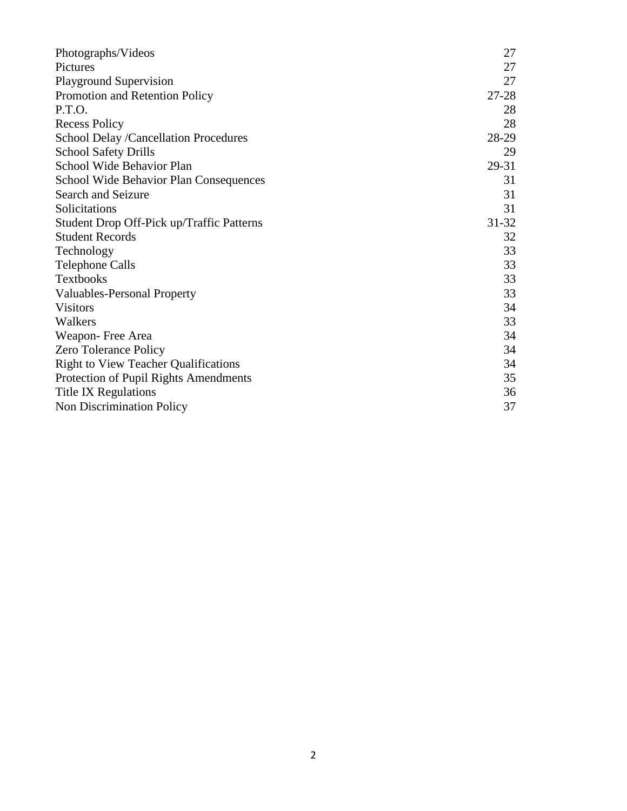| Photographs/Videos                          | 27        |
|---------------------------------------------|-----------|
| Pictures                                    | 27        |
| <b>Playground Supervision</b>               | 27        |
| Promotion and Retention Policy              | $27 - 28$ |
| P.T.O.                                      | 28        |
| <b>Recess Policy</b>                        | 28        |
| School Delay /Cancellation Procedures       | 28-29     |
| <b>School Safety Drills</b>                 | 29        |
| School Wide Behavior Plan                   | 29-31     |
| School Wide Behavior Plan Consequences      | 31        |
| Search and Seizure                          | 31        |
| Solicitations                               | 31        |
| Student Drop Off-Pick up/Traffic Patterns   | $31 - 32$ |
| <b>Student Records</b>                      | 32        |
| Technology                                  | 33        |
| <b>Telephone Calls</b>                      | 33        |
| <b>Textbooks</b>                            | 33        |
| <b>Valuables-Personal Property</b>          | 33        |
| <b>Visitors</b>                             | 34        |
| Walkers                                     | 33        |
| Weapon-Free Area                            | 34        |
| <b>Zero Tolerance Policy</b>                | 34        |
| <b>Right to View Teacher Qualifications</b> | 34        |
| Protection of Pupil Rights Amendments       | 35        |
| Title IX Regulations                        | 36        |
| Non Discrimination Policy                   | 37        |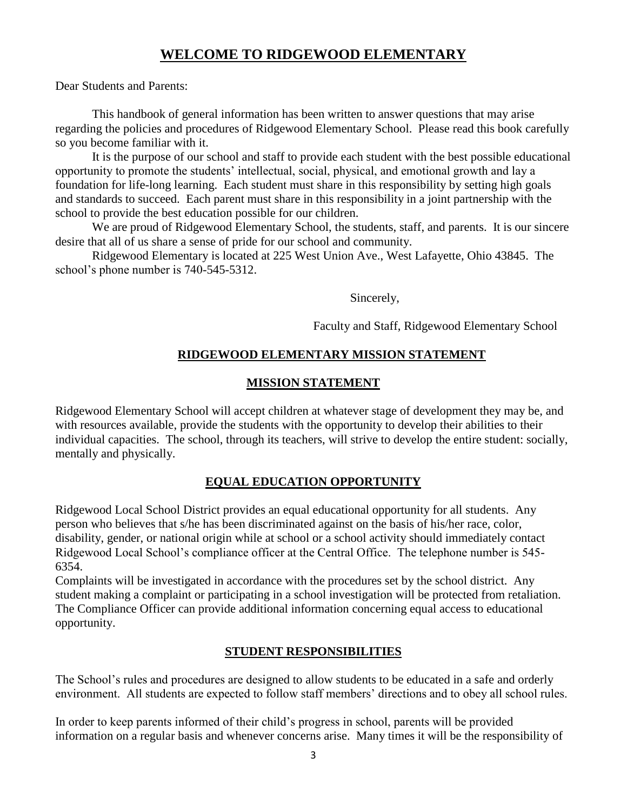## **WELCOME TO RIDGEWOOD ELEMENTARY**

Dear Students and Parents:

 This handbook of general information has been written to answer questions that may arise regarding the policies and procedures of Ridgewood Elementary School. Please read this book carefully so you become familiar with it.

It is the purpose of our school and staff to provide each student with the best possible educational opportunity to promote the students' intellectual, social, physical, and emotional growth and lay a foundation for life-long learning. Each student must share in this responsibility by setting high goals and standards to succeed. Each parent must share in this responsibility in a joint partnership with the school to provide the best education possible for our children.

We are proud of Ridgewood Elementary School, the students, staff, and parents. It is our sincere desire that all of us share a sense of pride for our school and community.

Ridgewood Elementary is located at 225 West Union Ave., West Lafayette, Ohio 43845. The school's phone number is 740-545-5312.

Sincerely,

Faculty and Staff, Ridgewood Elementary School

#### **RIDGEWOOD ELEMENTARY MISSION STATEMENT**

#### **MISSION STATEMENT**

Ridgewood Elementary School will accept children at whatever stage of development they may be, and with resources available, provide the students with the opportunity to develop their abilities to their individual capacities. The school, through its teachers, will strive to develop the entire student: socially, mentally and physically.

## **EQUAL EDUCATION OPPORTUNITY**

Ridgewood Local School District provides an equal educational opportunity for all students. Any person who believes that s/he has been discriminated against on the basis of his/her race, color, disability, gender, or national origin while at school or a school activity should immediately contact Ridgewood Local School's compliance officer at the Central Office. The telephone number is 545- 6354.

Complaints will be investigated in accordance with the procedures set by the school district. Any student making a complaint or participating in a school investigation will be protected from retaliation. The Compliance Officer can provide additional information concerning equal access to educational opportunity.

#### **STUDENT RESPONSIBILITIES**

The School's rules and procedures are designed to allow students to be educated in a safe and orderly environment. All students are expected to follow staff members' directions and to obey all school rules.

In order to keep parents informed of their child's progress in school, parents will be provided information on a regular basis and whenever concerns arise. Many times it will be the responsibility of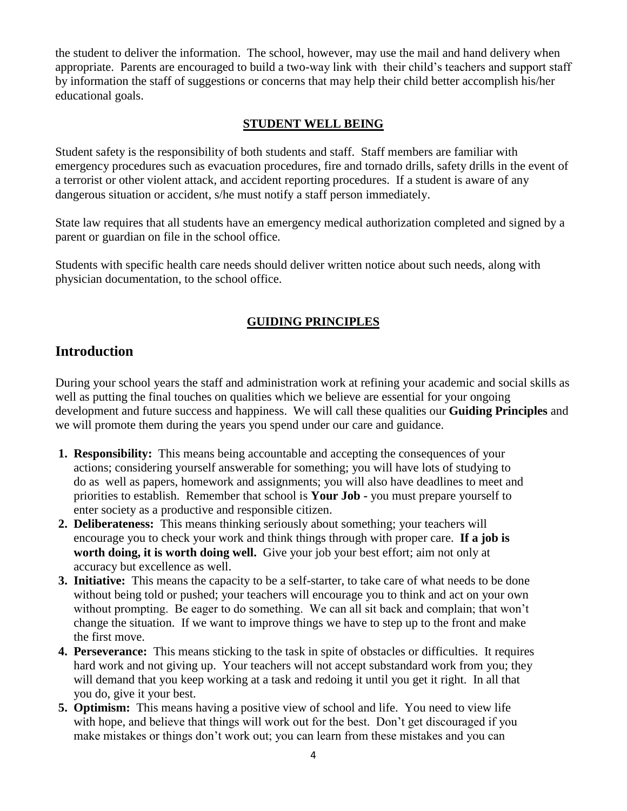the student to deliver the information. The school, however, may use the mail and hand delivery when appropriate. Parents are encouraged to build a two-way link with their child's teachers and support staff by information the staff of suggestions or concerns that may help their child better accomplish his/her educational goals.

#### **STUDENT WELL BEING**

Student safety is the responsibility of both students and staff. Staff members are familiar with emergency procedures such as evacuation procedures, fire and tornado drills, safety drills in the event of a terrorist or other violent attack, and accident reporting procedures. If a student is aware of any dangerous situation or accident, s/he must notify a staff person immediately.

State law requires that all students have an emergency medical authorization completed and signed by a parent or guardian on file in the school office.

Students with specific health care needs should deliver written notice about such needs, along with physician documentation, to the school office.

## **GUIDING PRINCIPLES**

## **Introduction**

During your school years the staff and administration work at refining your academic and social skills as well as putting the final touches on qualities which we believe are essential for your ongoing development and future success and happiness. We will call these qualities our **Guiding Principles** and we will promote them during the years you spend under our care and guidance.

- **1. Responsibility:** This means being accountable and accepting the consequences of your actions; considering yourself answerable for something; you will have lots of studying to do as well as papers, homework and assignments; you will also have deadlines to meet and priorities to establish. Remember that school is **Your Job -** you must prepare yourself to enter society as a productive and responsible citizen.
- **2. Deliberateness:** This means thinking seriously about something; your teachers will encourage you to check your work and think things through with proper care. **If a job is worth doing, it is worth doing well.** Give your job your best effort; aim not only at accuracy but excellence as well.
- **3. Initiative:** This means the capacity to be a self-starter, to take care of what needs to be done without being told or pushed; your teachers will encourage you to think and act on your own without prompting. Be eager to do something. We can all sit back and complain; that won't change the situation. If we want to improve things we have to step up to the front and make the first move.
- **4. Perseverance:** This means sticking to the task in spite of obstacles or difficulties. It requires hard work and not giving up. Your teachers will not accept substandard work from you; they will demand that you keep working at a task and redoing it until you get it right. In all that you do, give it your best.
- **5. Optimism:** This means having a positive view of school and life. You need to view life with hope, and believe that things will work out for the best. Don't get discouraged if you make mistakes or things don't work out; you can learn from these mistakes and you can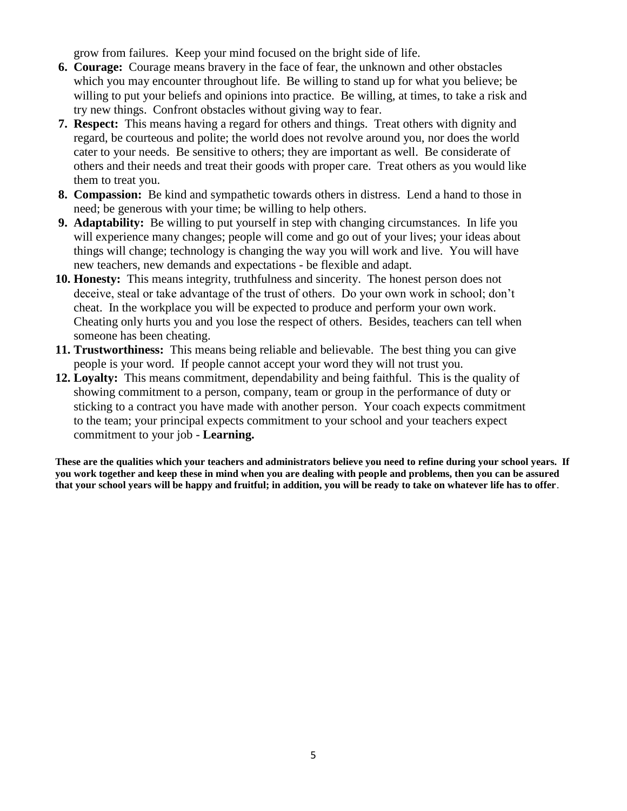grow from failures. Keep your mind focused on the bright side of life.

- **6. Courage:** Courage means bravery in the face of fear, the unknown and other obstacles which you may encounter throughout life. Be willing to stand up for what you believe; be willing to put your beliefs and opinions into practice. Be willing, at times, to take a risk and try new things. Confront obstacles without giving way to fear.
- **7. Respect:** This means having a regard for others and things. Treat others with dignity and regard, be courteous and polite; the world does not revolve around you, nor does the world cater to your needs. Be sensitive to others; they are important as well. Be considerate of others and their needs and treat their goods with proper care. Treat others as you would like them to treat you.
- **8. Compassion:** Be kind and sympathetic towards others in distress. Lend a hand to those in need; be generous with your time; be willing to help others.
- **9. Adaptability:** Be willing to put yourself in step with changing circumstances. In life you will experience many changes; people will come and go out of your lives; your ideas about things will change; technology is changing the way you will work and live. You will have new teachers, new demands and expectations - be flexible and adapt.
- **10. Honesty:** This means integrity, truthfulness and sincerity. The honest person does not deceive, steal or take advantage of the trust of others. Do your own work in school; don't cheat. In the workplace you will be expected to produce and perform your own work. Cheating only hurts you and you lose the respect of others. Besides, teachers can tell when someone has been cheating.
- **11. Trustworthiness:** This means being reliable and believable. The best thing you can give people is your word. If people cannot accept your word they will not trust you.
- **12. Loyalty:** This means commitment, dependability and being faithful. This is the quality of showing commitment to a person, company, team or group in the performance of duty or sticking to a contract you have made with another person. Your coach expects commitment to the team; your principal expects commitment to your school and your teachers expect commitment to your job - **Learning.**

**These are the qualities which your teachers and administrators believe you need to refine during your school years. If you work together and keep these in mind when you are dealing with people and problems, then you can be assured that your school years will be happy and fruitful; in addition, you will be ready to take on whatever life has to offer**.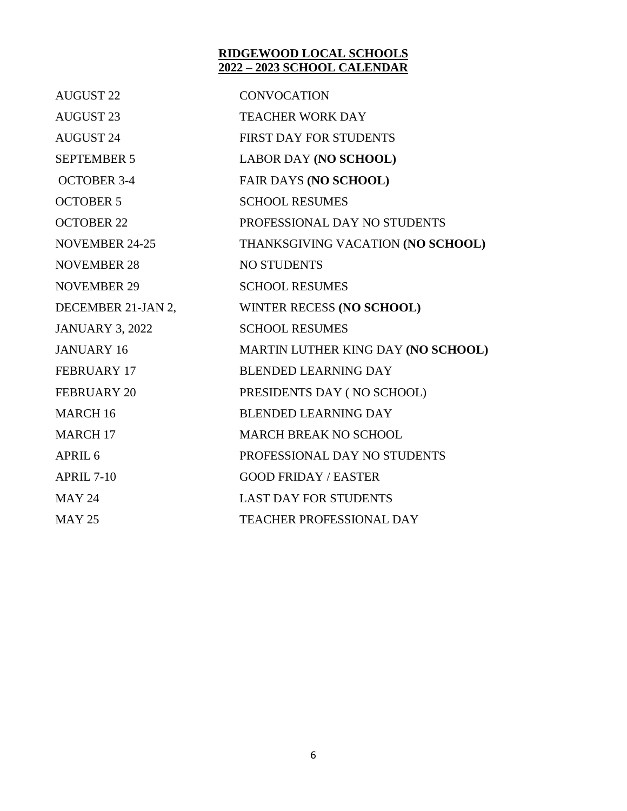#### **RIDGEWOOD LOCAL SCHOOLS 2022 – 2023 SCHOOL CALENDAR**

| <b>AUGUST 22</b>       | <b>CONVOCATION</b>                 |
|------------------------|------------------------------------|
| <b>AUGUST 23</b>       | <b>TEACHER WORK DAY</b>            |
| <b>AUGUST 24</b>       | FIRST DAY FOR STUDENTS             |
| <b>SEPTEMBER 5</b>     | <b>LABOR DAY (NO SCHOOL)</b>       |
| <b>OCTOBER 3-4</b>     | <b>FAIR DAYS (NO SCHOOL)</b>       |
| <b>OCTOBER 5</b>       | <b>SCHOOL RESUMES</b>              |
| <b>OCTOBER 22</b>      | PROFESSIONAL DAY NO STUDENTS       |
| <b>NOVEMBER 24-25</b>  | THANKSGIVING VACATION (NO SCHOOL)  |
| <b>NOVEMBER 28</b>     | <b>NO STUDENTS</b>                 |
| <b>NOVEMBER 29</b>     | <b>SCHOOL RESUMES</b>              |
| DECEMBER 21-JAN 2,     | WINTER RECESS (NO SCHOOL)          |
| <b>JANUARY 3, 2022</b> | <b>SCHOOL RESUMES</b>              |
| <b>JANUARY 16</b>      | MARTIN LUTHER KING DAY (NO SCHOOL) |
| FEBRUARY 17            | <b>BLENDED LEARNING DAY</b>        |
| <b>FEBRUARY 20</b>     | PRESIDENTS DAY (NO SCHOOL)         |
| <b>MARCH 16</b>        | <b>BLENDED LEARNING DAY</b>        |
| <b>MARCH 17</b>        | <b>MARCH BREAK NO SCHOOL</b>       |
| APRIL <sub>6</sub>     | PROFESSIONAL DAY NO STUDENTS       |
| <b>APRIL 7-10</b>      | <b>GOOD FRIDAY / EASTER</b>        |
| <b>MAY 24</b>          | <b>LAST DAY FOR STUDENTS</b>       |
| <b>MAY 25</b>          | <b>TEACHER PROFESSIONAL DAY</b>    |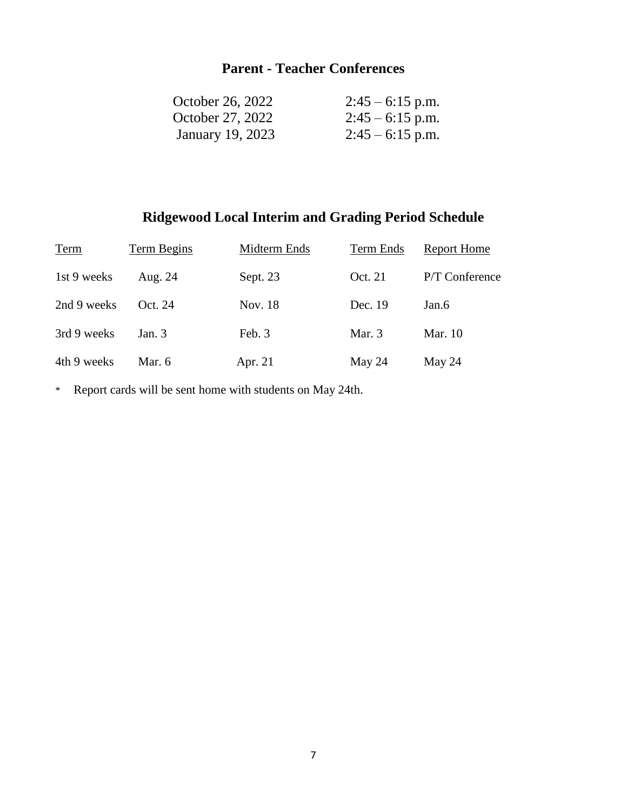# **Parent - Teacher Conferences**

| October 26, 2022        | $2:45 - 6:15$ p.m. |
|-------------------------|--------------------|
| October 27, 2022        | $2:45 - 6:15$ p.m. |
| <b>January 19, 2023</b> | $2:45 - 6:15$ p.m. |

# **Ridgewood Local Interim and Grading Period Schedule**

| Term        | Term Begins | Midterm Ends | Term Ends | <b>Report Home</b> |
|-------------|-------------|--------------|-----------|--------------------|
| 1st 9 weeks | Aug. 24     | Sept. 23     | Oct. 21   | P/T Conference     |
| 2nd 9 weeks | Oct. 24     | Nov. 18      | Dec. 19   | Jan.6              |
| 3rd 9 weeks | Jan. $3$    | Feb. 3       | Mar. $3$  | Mar. 10            |
| 4th 9 weeks | Mar. 6      | Apr. 21      | May $24$  | May $24$           |

\* Report cards will be sent home with students on May 24th.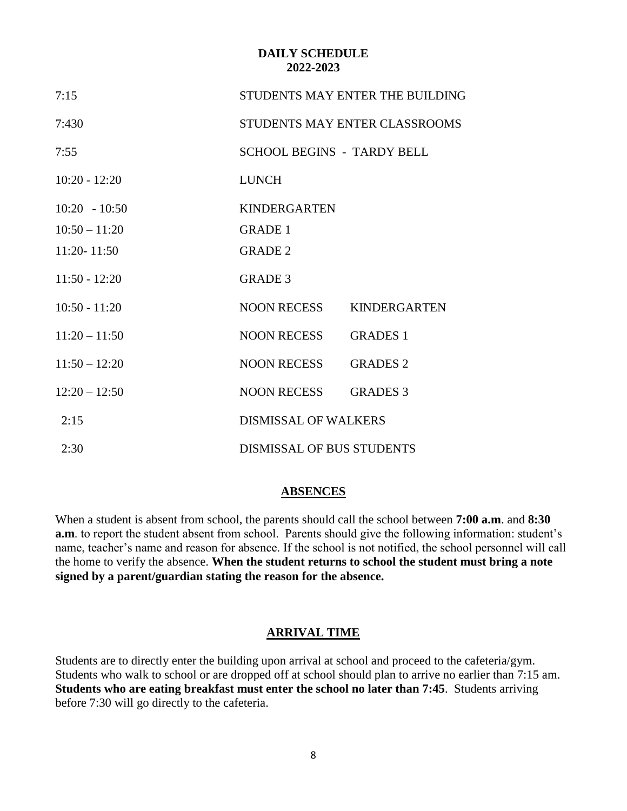#### **DAILY SCHEDULE 2022-2023**

| 7:15            | STUDENTS MAY ENTER THE BUILDING   |                     |  |
|-----------------|-----------------------------------|---------------------|--|
| 7:430           | STUDENTS MAY ENTER CLASSROOMS     |                     |  |
| 7:55            | <b>SCHOOL BEGINS - TARDY BELL</b> |                     |  |
| $10:20 - 12:20$ | <b>LUNCH</b>                      |                     |  |
| $10:20 - 10:50$ | <b>KINDERGARTEN</b>               |                     |  |
| $10:50 - 11:20$ | <b>GRADE 1</b>                    |                     |  |
| 11:20-11:50     | <b>GRADE 2</b>                    |                     |  |
| $11:50 - 12:20$ | <b>GRADE 3</b>                    |                     |  |
| $10:50 - 11:20$ | NOON RECESS                       | <b>KINDERGARTEN</b> |  |
| $11:20 - 11:50$ | NOON RECESS                       | <b>GRADES 1</b>     |  |
| $11:50 - 12:20$ | NOON RECESS                       | <b>GRADES 2</b>     |  |
| $12:20 - 12:50$ | NOON RECESS                       | <b>GRADES 3</b>     |  |
| 2:15            | <b>DISMISSAL OF WALKERS</b>       |                     |  |
| 2:30            | <b>DISMISSAL OF BUS STUDENTS</b>  |                     |  |

#### **ABSENCES**

When a student is absent from school, the parents should call the school between **7:00 a.m**. and **8:30 a.m**. to report the student absent from school. Parents should give the following information: student's name, teacher's name and reason for absence. If the school is not notified, the school personnel will call the home to verify the absence. **When the student returns to school the student must bring a note signed by a parent/guardian stating the reason for the absence.**

#### **ARRIVAL TIME**

Students are to directly enter the building upon arrival at school and proceed to the cafeteria/gym. Students who walk to school or are dropped off at school should plan to arrive no earlier than 7:15 am. **Students who are eating breakfast must enter the school no later than 7:45**. Students arriving before 7:30 will go directly to the cafeteria.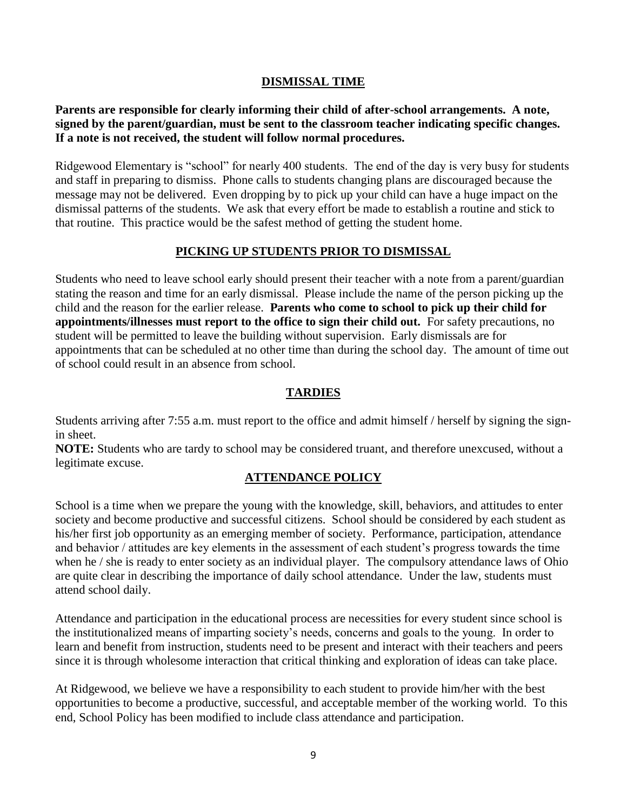#### **DISMISSAL TIME**

**Parents are responsible for clearly informing their child of after-school arrangements. A note, signed by the parent/guardian, must be sent to the classroom teacher indicating specific changes. If a note is not received, the student will follow normal procedures.**

Ridgewood Elementary is "school" for nearly 400 students. The end of the day is very busy for students and staff in preparing to dismiss. Phone calls to students changing plans are discouraged because the message may not be delivered. Even dropping by to pick up your child can have a huge impact on the dismissal patterns of the students. We ask that every effort be made to establish a routine and stick to that routine. This practice would be the safest method of getting the student home.

#### **PICKING UP STUDENTS PRIOR TO DISMISSAL**

Students who need to leave school early should present their teacher with a note from a parent/guardian stating the reason and time for an early dismissal. Please include the name of the person picking up the child and the reason for the earlier release. **Parents who come to school to pick up their child for appointments/illnesses must report to the office to sign their child out.** For safety precautions, no student will be permitted to leave the building without supervision. Early dismissals are for appointments that can be scheduled at no other time than during the school day. The amount of time out of school could result in an absence from school.

#### **TARDIES**

Students arriving after 7:55 a.m. must report to the office and admit himself / herself by signing the signin sheet.

**NOTE:** Students who are tardy to school may be considered truant, and therefore unexcused, without a legitimate excuse.

## **ATTENDANCE POLICY**

School is a time when we prepare the young with the knowledge, skill, behaviors, and attitudes to enter society and become productive and successful citizens. School should be considered by each student as his/her first job opportunity as an emerging member of society. Performance, participation, attendance and behavior / attitudes are key elements in the assessment of each student's progress towards the time when he / she is ready to enter society as an individual player. The compulsory attendance laws of Ohio are quite clear in describing the importance of daily school attendance. Under the law, students must attend school daily.

Attendance and participation in the educational process are necessities for every student since school is the institutionalized means of imparting society's needs, concerns and goals to the young. In order to learn and benefit from instruction, students need to be present and interact with their teachers and peers since it is through wholesome interaction that critical thinking and exploration of ideas can take place.

At Ridgewood, we believe we have a responsibility to each student to provide him/her with the best opportunities to become a productive, successful, and acceptable member of the working world. To this end, School Policy has been modified to include class attendance and participation.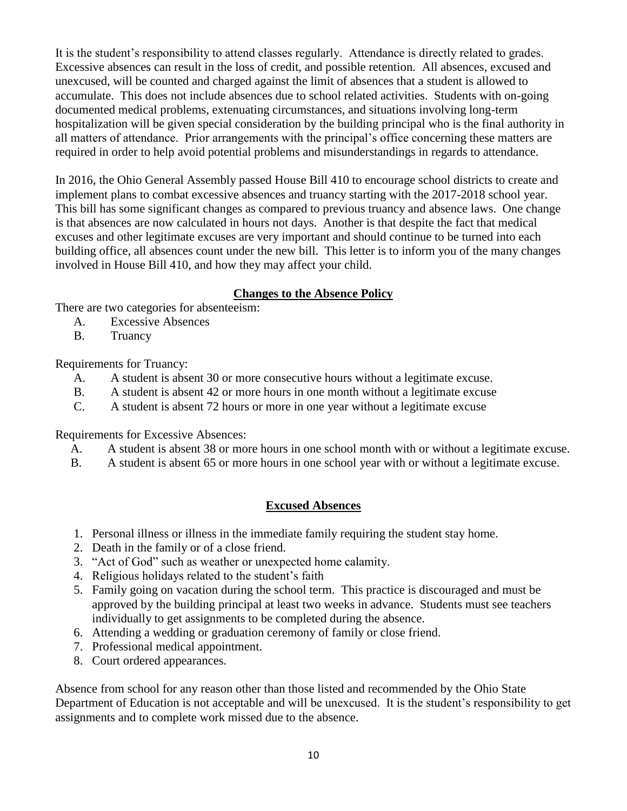It is the student's responsibility to attend classes regularly. Attendance is directly related to grades. Excessive absences can result in the loss of credit, and possible retention. All absences, excused and unexcused, will be counted and charged against the limit of absences that a student is allowed to accumulate. This does not include absences due to school related activities. Students with on-going documented medical problems, extenuating circumstances, and situations involving long-term hospitalization will be given special consideration by the building principal who is the final authority in all matters of attendance. Prior arrangements with the principal's office concerning these matters are required in order to help avoid potential problems and misunderstandings in regards to attendance.

In 2016, the Ohio General Assembly passed House Bill 410 to encourage school districts to create and implement plans to combat excessive absences and truancy starting with the 2017-2018 school year. This bill has some significant changes as compared to previous truancy and absence laws. One change is that absences are now calculated in hours not days. Another is that despite the fact that medical excuses and other legitimate excuses are very important and should continue to be turned into each building office, all absences count under the new bill. This letter is to inform you of the many changes involved in House Bill 410, and how they may affect your child.

## **Changes to the Absence Policy**

There are two categories for absenteeism:

- A. Excessive Absences
- B. Truancy

Requirements for Truancy:

- A. A student is absent 30 or more consecutive hours without a legitimate excuse.
- B. A student is absent 42 or more hours in one month without a legitimate excuse
- C. A student is absent 72 hours or more in one year without a legitimate excuse

Requirements for Excessive Absences:

- A. A student is absent 38 or more hours in one school month with or without a legitimate excuse.
- B. A student is absent 65 or more hours in one school year with or without a legitimate excuse.

#### **Excused Absences**

- 1. Personal illness or illness in the immediate family requiring the student stay home.
- 2. Death in the family or of a close friend.
- 3. "Act of God" such as weather or unexpected home calamity.
- 4. Religious holidays related to the student's faith
- 5. Family going on vacation during the school term. This practice is discouraged and must be approved by the building principal at least two weeks in advance. Students must see teachers individually to get assignments to be completed during the absence.
- 6. Attending a wedding or graduation ceremony of family or close friend.
- 7. Professional medical appointment.
- 8. Court ordered appearances.

Absence from school for any reason other than those listed and recommended by the Ohio State Department of Education is not acceptable and will be unexcused. It is the student's responsibility to get assignments and to complete work missed due to the absence.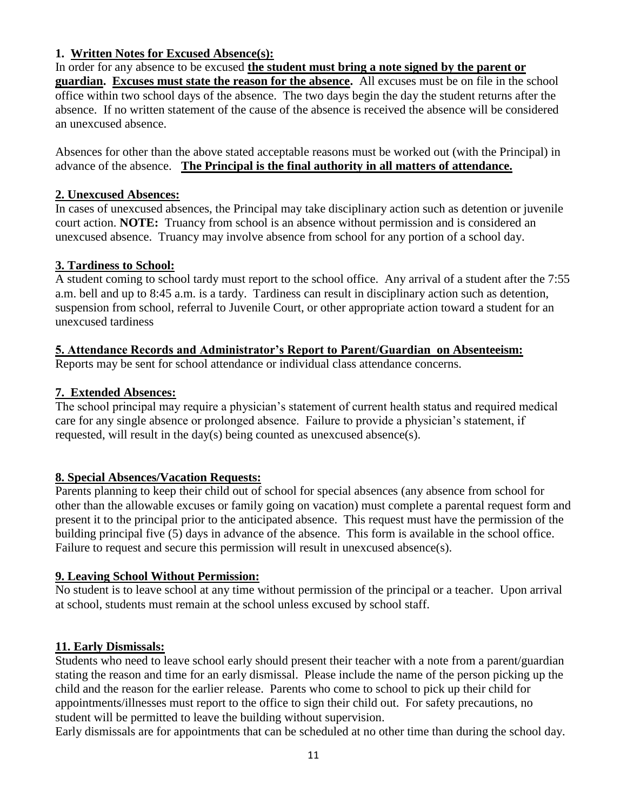## **1. Written Notes for Excused Absence(s):**

In order for any absence to be excused **the student must bring a note signed by the parent or guardian. Excuses must state the reason for the absence.** All excuses must be on file in the school office within two school days of the absence. The two days begin the day the student returns after the absence. If no written statement of the cause of the absence is received the absence will be considered an unexcused absence.

Absences for other than the above stated acceptable reasons must be worked out (with the Principal) in advance of the absence. **The Principal is the final authority in all matters of attendance.**

#### **2. Unexcused Absences:**

In cases of unexcused absences, the Principal may take disciplinary action such as detention or juvenile court action. **NOTE:** Truancy from school is an absence without permission and is considered an unexcused absence. Truancy may involve absence from school for any portion of a school day.

#### **3. Tardiness to School:**

A student coming to school tardy must report to the school office. Any arrival of a student after the 7:55 a.m. bell and up to 8:45 a.m. is a tardy. Tardiness can result in disciplinary action such as detention, suspension from school, referral to Juvenile Court, or other appropriate action toward a student for an unexcused tardiness

#### **5. Attendance Records and Administrator's Report to Parent/Guardian on Absenteeism:**

Reports may be sent for school attendance or individual class attendance concerns.

#### **7. Extended Absences:**

The school principal may require a physician's statement of current health status and required medical care for any single absence or prolonged absence. Failure to provide a physician's statement, if requested, will result in the day(s) being counted as unexcused absence(s).

#### **8. Special Absences/Vacation Requests:**

Parents planning to keep their child out of school for special absences (any absence from school for other than the allowable excuses or family going on vacation) must complete a parental request form and present it to the principal prior to the anticipated absence. This request must have the permission of the building principal five (5) days in advance of the absence. This form is available in the school office. Failure to request and secure this permission will result in unexcused absence(s).

#### **9. Leaving School Without Permission:**

No student is to leave school at any time without permission of the principal or a teacher. Upon arrival at school, students must remain at the school unless excused by school staff.

#### **11. Early Dismissals:**

Students who need to leave school early should present their teacher with a note from a parent/guardian stating the reason and time for an early dismissal. Please include the name of the person picking up the child and the reason for the earlier release. Parents who come to school to pick up their child for appointments/illnesses must report to the office to sign their child out. For safety precautions, no student will be permitted to leave the building without supervision.

Early dismissals are for appointments that can be scheduled at no other time than during the school day.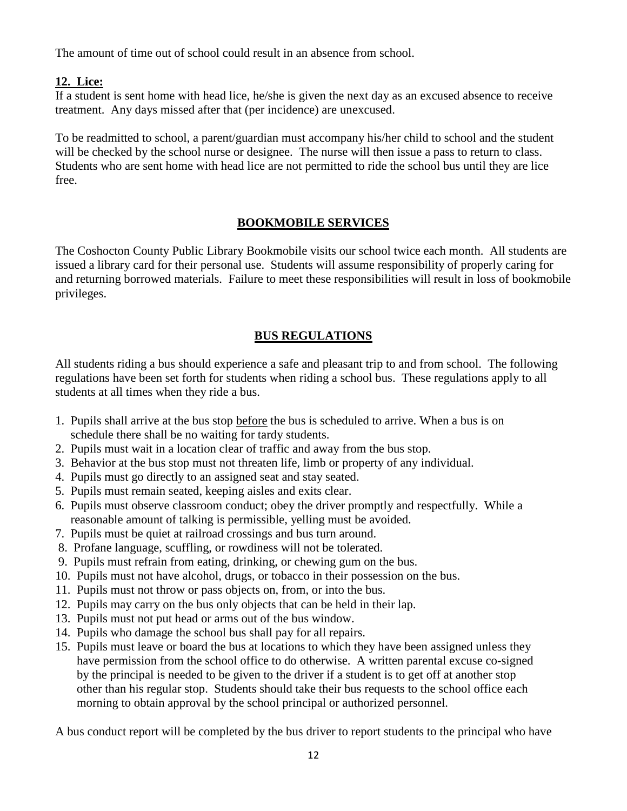The amount of time out of school could result in an absence from school.

## **12. Lice:**

If a student is sent home with head lice, he/she is given the next day as an excused absence to receive treatment. Any days missed after that (per incidence) are unexcused.

To be readmitted to school, a parent/guardian must accompany his/her child to school and the student will be checked by the school nurse or designee. The nurse will then issue a pass to return to class. Students who are sent home with head lice are not permitted to ride the school bus until they are lice free.

#### **BOOKMOBILE SERVICES**

The Coshocton County Public Library Bookmobile visits our school twice each month. All students are issued a library card for their personal use. Students will assume responsibility of properly caring for and returning borrowed materials. Failure to meet these responsibilities will result in loss of bookmobile privileges.

## **BUS REGULATIONS**

All students riding a bus should experience a safe and pleasant trip to and from school. The following regulations have been set forth for students when riding a school bus. These regulations apply to all students at all times when they ride a bus.

- 1. Pupils shall arrive at the bus stop before the bus is scheduled to arrive. When a bus is on schedule there shall be no waiting for tardy students.
- 2. Pupils must wait in a location clear of traffic and away from the bus stop.
- 3. Behavior at the bus stop must not threaten life, limb or property of any individual.
- 4. Pupils must go directly to an assigned seat and stay seated.
- 5. Pupils must remain seated, keeping aisles and exits clear.
- 6. Pupils must observe classroom conduct; obey the driver promptly and respectfully. While a reasonable amount of talking is permissible, yelling must be avoided.
- 7. Pupils must be quiet at railroad crossings and bus turn around.
- 8. Profane language, scuffling, or rowdiness will not be tolerated.
- 9. Pupils must refrain from eating, drinking, or chewing gum on the bus.
- 10. Pupils must not have alcohol, drugs, or tobacco in their possession on the bus.
- 11. Pupils must not throw or pass objects on, from, or into the bus.
- 12. Pupils may carry on the bus only objects that can be held in their lap.
- 13. Pupils must not put head or arms out of the bus window.
- 14. Pupils who damage the school bus shall pay for all repairs.
- 15. Pupils must leave or board the bus at locations to which they have been assigned unless they have permission from the school office to do otherwise. A written parental excuse co-signed by the principal is needed to be given to the driver if a student is to get off at another stop other than his regular stop. Students should take their bus requests to the school office each morning to obtain approval by the school principal or authorized personnel.

A bus conduct report will be completed by the bus driver to report students to the principal who have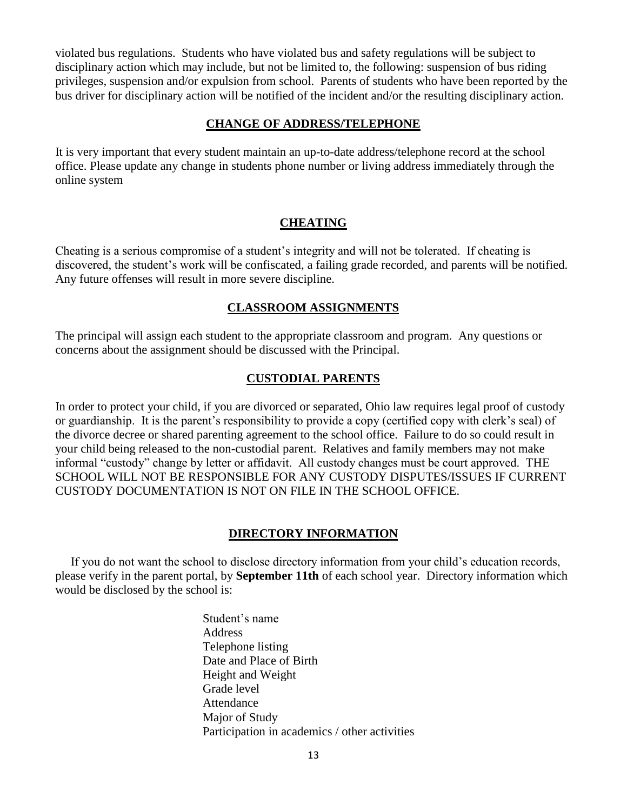violated bus regulations. Students who have violated bus and safety regulations will be subject to disciplinary action which may include, but not be limited to, the following: suspension of bus riding privileges, suspension and/or expulsion from school. Parents of students who have been reported by the bus driver for disciplinary action will be notified of the incident and/or the resulting disciplinary action.

#### **CHANGE OF ADDRESS/TELEPHONE**

It is very important that every student maintain an up-to-date address/telephone record at the school office. Please update any change in students phone number or living address immediately through the online system

#### **CHEATING**

Cheating is a serious compromise of a student's integrity and will not be tolerated. If cheating is discovered, the student's work will be confiscated, a failing grade recorded, and parents will be notified. Any future offenses will result in more severe discipline.

#### **CLASSROOM ASSIGNMENTS**

The principal will assign each student to the appropriate classroom and program. Any questions or concerns about the assignment should be discussed with the Principal.

#### **CUSTODIAL PARENTS**

In order to protect your child, if you are divorced or separated, Ohio law requires legal proof of custody or guardianship. It is the parent's responsibility to provide a copy (certified copy with clerk's seal) of the divorce decree or shared parenting agreement to the school office. Failure to do so could result in your child being released to the non-custodial parent. Relatives and family members may not make informal "custody" change by letter or affidavit. All custody changes must be court approved. THE SCHOOL WILL NOT BE RESPONSIBLE FOR ANY CUSTODY DISPUTES/ISSUES IF CURRENT CUSTODY DOCUMENTATION IS NOT ON FILE IN THE SCHOOL OFFICE.

#### **DIRECTORY INFORMATION**

 If you do not want the school to disclose directory information from your child's education records, please verify in the parent portal, by **September 11th** of each school year. Directory information which would be disclosed by the school is:

> Student's name Address Telephone listing Date and Place of Birth Height and Weight Grade level Attendance Major of Study Participation in academics / other activities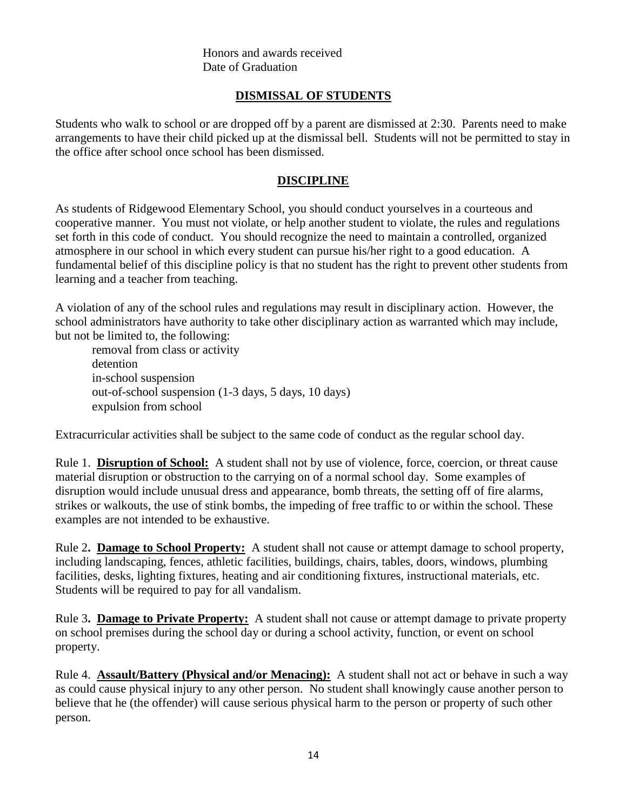Honors and awards received Date of Graduation

## **DISMISSAL OF STUDENTS**

Students who walk to school or are dropped off by a parent are dismissed at 2:30. Parents need to make arrangements to have their child picked up at the dismissal bell. Students will not be permitted to stay in the office after school once school has been dismissed.

#### **DISCIPLINE**

As students of Ridgewood Elementary School, you should conduct yourselves in a courteous and cooperative manner. You must not violate, or help another student to violate, the rules and regulations set forth in this code of conduct. You should recognize the need to maintain a controlled, organized atmosphere in our school in which every student can pursue his/her right to a good education. A fundamental belief of this discipline policy is that no student has the right to prevent other students from learning and a teacher from teaching.

A violation of any of the school rules and regulations may result in disciplinary action. However, the school administrators have authority to take other disciplinary action as warranted which may include, but not be limited to, the following:

removal from class or activity detention in-school suspension out-of-school suspension (1-3 days, 5 days, 10 days) expulsion from school

Extracurricular activities shall be subject to the same code of conduct as the regular school day.

Rule 1. **Disruption of School:** A student shall not by use of violence, force, coercion, or threat cause material disruption or obstruction to the carrying on of a normal school day. Some examples of disruption would include unusual dress and appearance, bomb threats, the setting off of fire alarms, strikes or walkouts, the use of stink bombs, the impeding of free traffic to or within the school. These examples are not intended to be exhaustive.

Rule 2**. Damage to School Property:** A student shall not cause or attempt damage to school property, including landscaping, fences, athletic facilities, buildings, chairs, tables, doors, windows, plumbing facilities, desks, lighting fixtures, heating and air conditioning fixtures, instructional materials, etc. Students will be required to pay for all vandalism.

Rule 3**. Damage to Private Property:** A student shall not cause or attempt damage to private property on school premises during the school day or during a school activity, function, or event on school property.

Rule 4. **Assault/Battery (Physical and/or Menacing):** A student shall not act or behave in such a way as could cause physical injury to any other person. No student shall knowingly cause another person to believe that he (the offender) will cause serious physical harm to the person or property of such other person.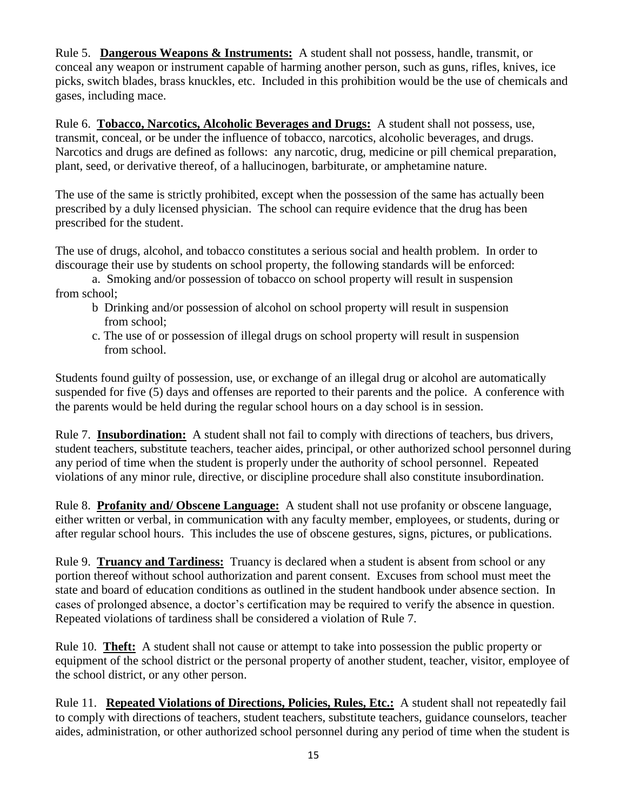Rule 5. **Dangerous Weapons & Instruments:** A student shall not possess, handle, transmit, or conceal any weapon or instrument capable of harming another person, such as guns, rifles, knives, ice picks, switch blades, brass knuckles, etc. Included in this prohibition would be the use of chemicals and gases, including mace.

Rule 6. **Tobacco, Narcotics, Alcoholic Beverages and Drugs:** A student shall not possess, use, transmit, conceal, or be under the influence of tobacco, narcotics, alcoholic beverages, and drugs. Narcotics and drugs are defined as follows: any narcotic, drug, medicine or pill chemical preparation, plant, seed, or derivative thereof, of a hallucinogen, barbiturate, or amphetamine nature.

The use of the same is strictly prohibited, except when the possession of the same has actually been prescribed by a duly licensed physician. The school can require evidence that the drug has been prescribed for the student.

The use of drugs, alcohol, and tobacco constitutes a serious social and health problem. In order to discourage their use by students on school property, the following standards will be enforced:

a. Smoking and/or possession of tobacco on school property will result in suspension from school;

- b Drinking and/or possession of alcohol on school property will result in suspension from school;
- c. The use of or possession of illegal drugs on school property will result in suspension from school.

Students found guilty of possession, use, or exchange of an illegal drug or alcohol are automatically suspended for five (5) days and offenses are reported to their parents and the police. A conference with the parents would be held during the regular school hours on a day school is in session.

Rule 7. **Insubordination:** A student shall not fail to comply with directions of teachers, bus drivers, student teachers, substitute teachers, teacher aides, principal, or other authorized school personnel during any period of time when the student is properly under the authority of school personnel. Repeated violations of any minor rule, directive, or discipline procedure shall also constitute insubordination.

Rule 8. **Profanity and/ Obscene Language:** A student shall not use profanity or obscene language, either written or verbal, in communication with any faculty member, employees, or students, during or after regular school hours. This includes the use of obscene gestures, signs, pictures, or publications.

Rule 9. **Truancy and Tardiness:** Truancy is declared when a student is absent from school or any portion thereof without school authorization and parent consent. Excuses from school must meet the state and board of education conditions as outlined in the student handbook under absence section. In cases of prolonged absence, a doctor's certification may be required to verify the absence in question. Repeated violations of tardiness shall be considered a violation of Rule 7.

Rule 10. **Theft:** A student shall not cause or attempt to take into possession the public property or equipment of the school district or the personal property of another student, teacher, visitor, employee of the school district, or any other person.

Rule 11. **Repeated Violations of Directions, Policies, Rules, Etc.:** A student shall not repeatedly fail to comply with directions of teachers, student teachers, substitute teachers, guidance counselors, teacher aides, administration, or other authorized school personnel during any period of time when the student is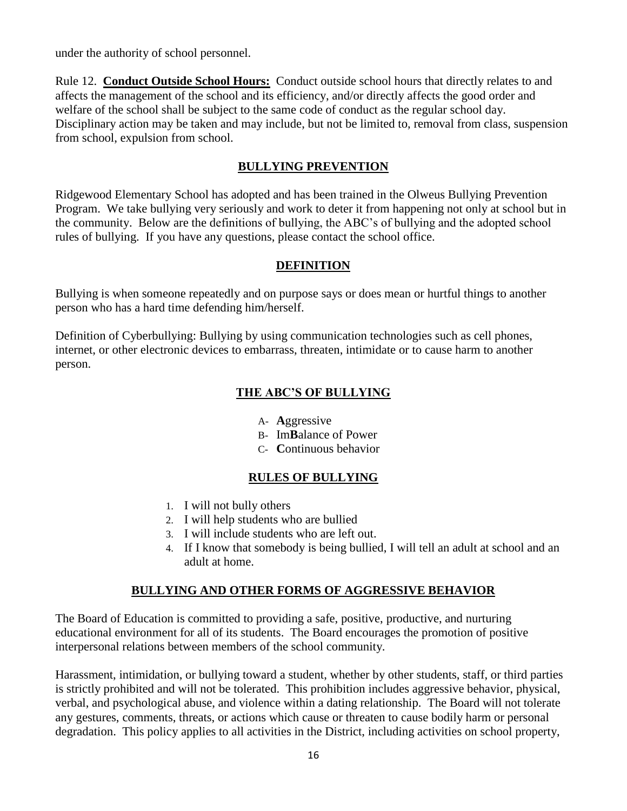under the authority of school personnel.

Rule 12. **Conduct Outside School Hours:** Conduct outside school hours that directly relates to and affects the management of the school and its efficiency, and/or directly affects the good order and welfare of the school shall be subject to the same code of conduct as the regular school day. Disciplinary action may be taken and may include, but not be limited to, removal from class, suspension from school, expulsion from school.

#### **BULLYING PREVENTION**

Ridgewood Elementary School has adopted and has been trained in the Olweus Bullying Prevention Program. We take bullying very seriously and work to deter it from happening not only at school but in the community. Below are the definitions of bullying, the ABC's of bullying and the adopted school rules of bullying. If you have any questions, please contact the school office.

#### **DEFINITION**

Bullying is when someone repeatedly and on purpose says or does mean or hurtful things to another person who has a hard time defending him/herself.

Definition of Cyberbullying: Bullying by using communication technologies such as cell phones, internet, or other electronic devices to embarrass, threaten, intimidate or to cause harm to another person.

## **THE ABC'S OF BULLYING**

- A- **A**ggressive
- B- Im**B**alance of Power
- C- **C**ontinuous behavior

## **RULES OF BULLYING**

- 1. I will not bully others
- 2. I will help students who are bullied
- 3. I will include students who are left out.
- 4. If I know that somebody is being bullied, I will tell an adult at school and an adult at home.

#### **BULLYING AND OTHER FORMS OF AGGRESSIVE BEHAVIOR**

The Board of Education is committed to providing a safe, positive, productive, and nurturing educational environment for all of its students. The Board encourages the promotion of positive interpersonal relations between members of the school community.

Harassment, intimidation, or bullying toward a student, whether by other students, staff, or third parties is strictly prohibited and will not be tolerated. This prohibition includes aggressive behavior, physical, verbal, and psychological abuse, and violence within a dating relationship. The Board will not tolerate any gestures, comments, threats, or actions which cause or threaten to cause bodily harm or personal degradation. This policy applies to all activities in the District, including activities on school property,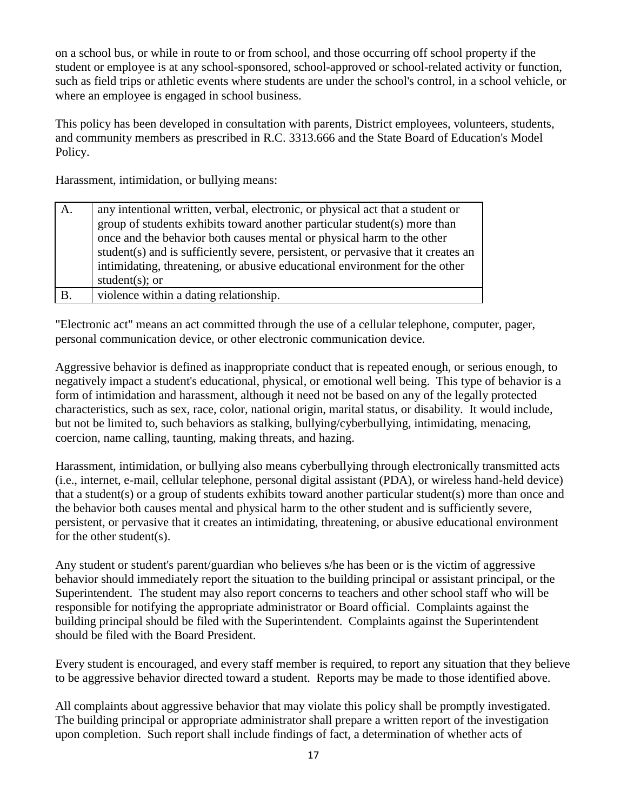on a school bus, or while in route to or from school, and those occurring off school property if the student or employee is at any school-sponsored, school-approved or school-related activity or function, such as field trips or athletic events where students are under the school's control, in a school vehicle, or where an employee is engaged in school business.

This policy has been developed in consultation with parents, District employees, volunteers, students, and community members as prescribed in R.C. 3313.666 and the State Board of Education's Model Policy.

Harassment, intimidation, or bullying means:

| A.        | any intentional written, verbal, electronic, or physical act that a student or     |
|-----------|------------------------------------------------------------------------------------|
|           | group of students exhibits toward another particular student(s) more than          |
|           | once and the behavior both causes mental or physical harm to the other             |
|           | student(s) and is sufficiently severe, persistent, or pervasive that it creates an |
|           | intimidating, threatening, or abusive educational environment for the other        |
|           | student $(s)$ ; or                                                                 |
| <b>B.</b> | violence within a dating relationship.                                             |

"Electronic act" means an act committed through the use of a cellular telephone, computer, pager, personal communication device, or other electronic communication device.

Aggressive behavior is defined as inappropriate conduct that is repeated enough, or serious enough, to negatively impact a student's educational, physical, or emotional well being. This type of behavior is a form of intimidation and harassment, although it need not be based on any of the legally protected characteristics, such as sex, race, color, national origin, marital status, or disability. It would include, but not be limited to, such behaviors as stalking, bullying/cyberbullying, intimidating, menacing, coercion, name calling, taunting, making threats, and hazing.

Harassment, intimidation, or bullying also means cyberbullying through electronically transmitted acts (i.e., internet, e-mail, cellular telephone, personal digital assistant (PDA), or wireless hand-held device) that a student(s) or a group of students exhibits toward another particular student(s) more than once and the behavior both causes mental and physical harm to the other student and is sufficiently severe, persistent, or pervasive that it creates an intimidating, threatening, or abusive educational environment for the other student(s).

Any student or student's parent/guardian who believes s/he has been or is the victim of aggressive behavior should immediately report the situation to the building principal or assistant principal, or the Superintendent. The student may also report concerns to teachers and other school staff who will be responsible for notifying the appropriate administrator or Board official. Complaints against the building principal should be filed with the Superintendent. Complaints against the Superintendent should be filed with the Board President.

Every student is encouraged, and every staff member is required, to report any situation that they believe to be aggressive behavior directed toward a student. Reports may be made to those identified above.

All complaints about aggressive behavior that may violate this policy shall be promptly investigated. The building principal or appropriate administrator shall prepare a written report of the investigation upon completion. Such report shall include findings of fact, a determination of whether acts of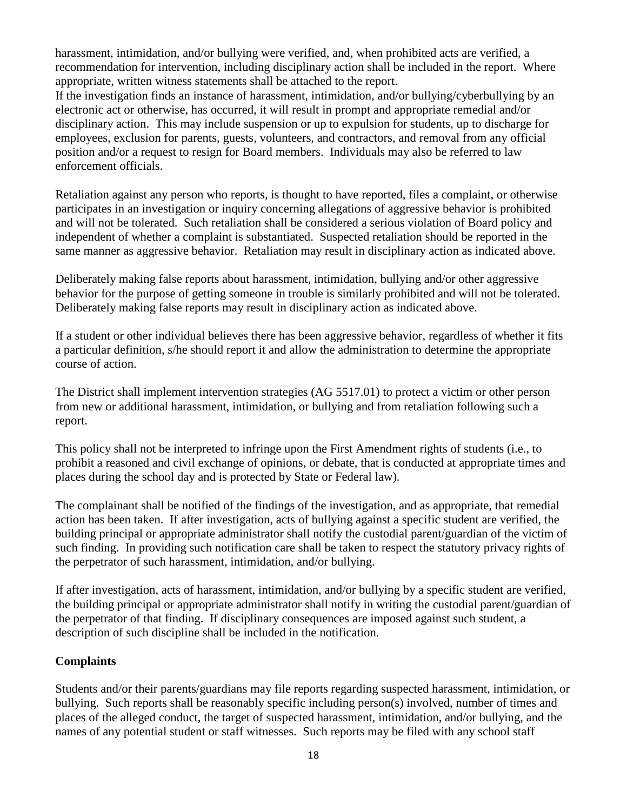harassment, intimidation, and/or bullying were verified, and, when prohibited acts are verified, a recommendation for intervention, including disciplinary action shall be included in the report. Where appropriate, written witness statements shall be attached to the report.

If the investigation finds an instance of harassment, intimidation, and/or bullying/cyberbullying by an electronic act or otherwise, has occurred, it will result in prompt and appropriate remedial and/or disciplinary action. This may include suspension or up to expulsion for students, up to discharge for employees, exclusion for parents, guests, volunteers, and contractors, and removal from any official position and/or a request to resign for Board members. Individuals may also be referred to law enforcement officials.

Retaliation against any person who reports, is thought to have reported, files a complaint, or otherwise participates in an investigation or inquiry concerning allegations of aggressive behavior is prohibited and will not be tolerated. Such retaliation shall be considered a serious violation of Board policy and independent of whether a complaint is substantiated. Suspected retaliation should be reported in the same manner as aggressive behavior. Retaliation may result in disciplinary action as indicated above.

Deliberately making false reports about harassment, intimidation, bullying and/or other aggressive behavior for the purpose of getting someone in trouble is similarly prohibited and will not be tolerated. Deliberately making false reports may result in disciplinary action as indicated above.

If a student or other individual believes there has been aggressive behavior, regardless of whether it fits a particular definition, s/he should report it and allow the administration to determine the appropriate course of action.

The District shall implement intervention strategies (AG 5517.01) to protect a victim or other person from new or additional harassment, intimidation, or bullying and from retaliation following such a report.

This policy shall not be interpreted to infringe upon the First Amendment rights of students (i.e., to prohibit a reasoned and civil exchange of opinions, or debate, that is conducted at appropriate times and places during the school day and is protected by State or Federal law).

The complainant shall be notified of the findings of the investigation, and as appropriate, that remedial action has been taken. If after investigation, acts of bullying against a specific student are verified, the building principal or appropriate administrator shall notify the custodial parent/guardian of the victim of such finding. In providing such notification care shall be taken to respect the statutory privacy rights of the perpetrator of such harassment, intimidation, and/or bullying.

If after investigation, acts of harassment, intimidation, and/or bullying by a specific student are verified, the building principal or appropriate administrator shall notify in writing the custodial parent/guardian of the perpetrator of that finding. If disciplinary consequences are imposed against such student, a description of such discipline shall be included in the notification.

## **Complaints**

Students and/or their parents/guardians may file reports regarding suspected harassment, intimidation, or bullying. Such reports shall be reasonably specific including person(s) involved, number of times and places of the alleged conduct, the target of suspected harassment, intimidation, and/or bullying, and the names of any potential student or staff witnesses. Such reports may be filed with any school staff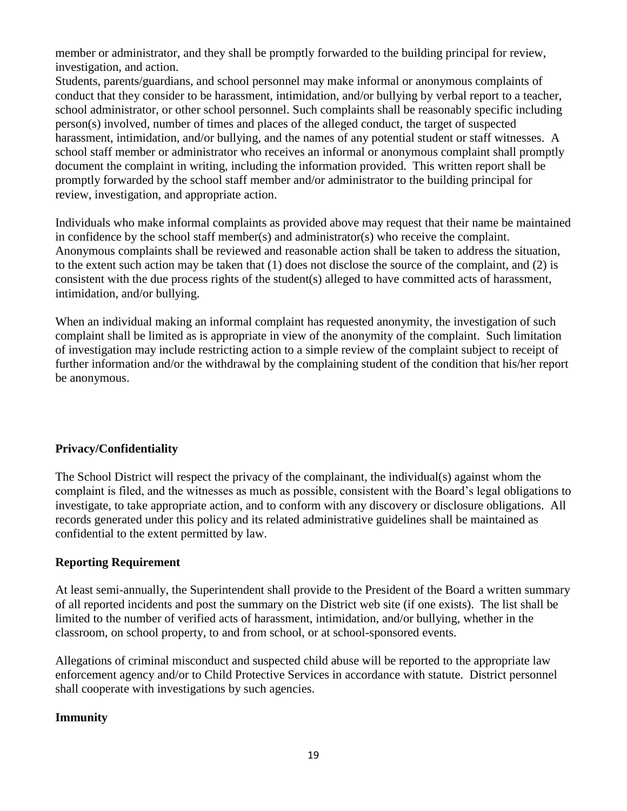member or administrator, and they shall be promptly forwarded to the building principal for review, investigation, and action.

Students, parents/guardians, and school personnel may make informal or anonymous complaints of conduct that they consider to be harassment, intimidation, and/or bullying by verbal report to a teacher, school administrator, or other school personnel. Such complaints shall be reasonably specific including person(s) involved, number of times and places of the alleged conduct, the target of suspected harassment, intimidation, and/or bullying, and the names of any potential student or staff witnesses. A school staff member or administrator who receives an informal or anonymous complaint shall promptly document the complaint in writing, including the information provided. This written report shall be promptly forwarded by the school staff member and/or administrator to the building principal for review, investigation, and appropriate action.

Individuals who make informal complaints as provided above may request that their name be maintained in confidence by the school staff member(s) and administrator(s) who receive the complaint. Anonymous complaints shall be reviewed and reasonable action shall be taken to address the situation, to the extent such action may be taken that (1) does not disclose the source of the complaint, and (2) is consistent with the due process rights of the student(s) alleged to have committed acts of harassment, intimidation, and/or bullying.

When an individual making an informal complaint has requested anonymity, the investigation of such complaint shall be limited as is appropriate in view of the anonymity of the complaint. Such limitation of investigation may include restricting action to a simple review of the complaint subject to receipt of further information and/or the withdrawal by the complaining student of the condition that his/her report be anonymous.

## **Privacy/Confidentiality**

The School District will respect the privacy of the complainant, the individual(s) against whom the complaint is filed, and the witnesses as much as possible, consistent with the Board's legal obligations to investigate, to take appropriate action, and to conform with any discovery or disclosure obligations. All records generated under this policy and its related administrative guidelines shall be maintained as confidential to the extent permitted by law.

## **Reporting Requirement**

At least semi-annually, the Superintendent shall provide to the President of the Board a written summary of all reported incidents and post the summary on the District web site (if one exists). The list shall be limited to the number of verified acts of harassment, intimidation, and/or bullying, whether in the classroom, on school property, to and from school, or at school-sponsored events.

Allegations of criminal misconduct and suspected child abuse will be reported to the appropriate law enforcement agency and/or to Child Protective Services in accordance with statute. District personnel shall cooperate with investigations by such agencies.

## **Immunity**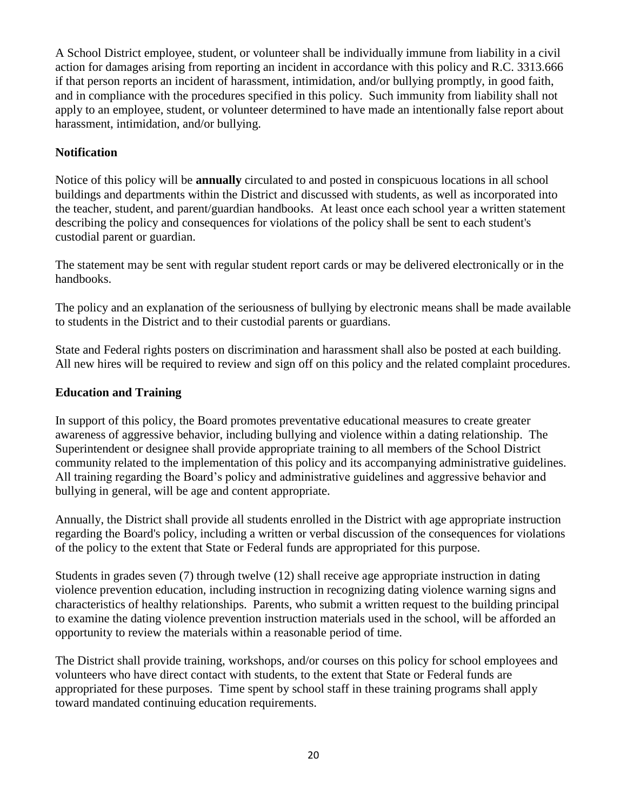A School District employee, student, or volunteer shall be individually immune from liability in a civil action for damages arising from reporting an incident in accordance with this policy and R.C. 3313.666 if that person reports an incident of harassment, intimidation, and/or bullying promptly, in good faith, and in compliance with the procedures specified in this policy. Such immunity from liability shall not apply to an employee, student, or volunteer determined to have made an intentionally false report about harassment, intimidation, and/or bullying.

## **Notification**

Notice of this policy will be **annually** circulated to and posted in conspicuous locations in all school buildings and departments within the District and discussed with students, as well as incorporated into the teacher, student, and parent/guardian handbooks. At least once each school year a written statement describing the policy and consequences for violations of the policy shall be sent to each student's custodial parent or guardian.

The statement may be sent with regular student report cards or may be delivered electronically or in the handbooks.

The policy and an explanation of the seriousness of bullying by electronic means shall be made available to students in the District and to their custodial parents or guardians.

State and Federal rights posters on discrimination and harassment shall also be posted at each building. All new hires will be required to review and sign off on this policy and the related complaint procedures.

## **Education and Training**

In support of this policy, the Board promotes preventative educational measures to create greater awareness of aggressive behavior, including bullying and violence within a dating relationship. The Superintendent or designee shall provide appropriate training to all members of the School District community related to the implementation of this policy and its accompanying administrative guidelines. All training regarding the Board's policy and administrative guidelines and aggressive behavior and bullying in general, will be age and content appropriate.

Annually, the District shall provide all students enrolled in the District with age appropriate instruction regarding the Board's policy, including a written or verbal discussion of the consequences for violations of the policy to the extent that State or Federal funds are appropriated for this purpose.

Students in grades seven (7) through twelve (12) shall receive age appropriate instruction in dating violence prevention education, including instruction in recognizing dating violence warning signs and characteristics of healthy relationships. Parents, who submit a written request to the building principal to examine the dating violence prevention instruction materials used in the school, will be afforded an opportunity to review the materials within a reasonable period of time.

The District shall provide training, workshops, and/or courses on this policy for school employees and volunteers who have direct contact with students, to the extent that State or Federal funds are appropriated for these purposes. Time spent by school staff in these training programs shall apply toward mandated continuing education requirements.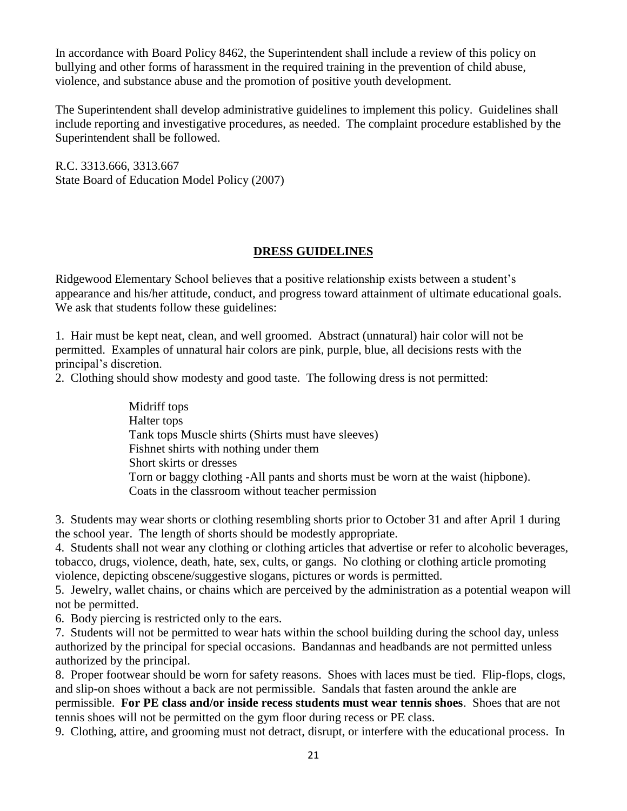In accordance with Board Policy 8462, the Superintendent shall include a review of this policy on bullying and other forms of harassment in the required training in the prevention of child abuse, violence, and substance abuse and the promotion of positive youth development.

The Superintendent shall develop administrative guidelines to implement this policy. Guidelines shall include reporting and investigative procedures, as needed. The complaint procedure established by the Superintendent shall be followed.

R.C. 3313.666, 3313.667 State Board of Education Model Policy (2007)

## **DRESS GUIDELINES**

Ridgewood Elementary School believes that a positive relationship exists between a student's appearance and his/her attitude, conduct, and progress toward attainment of ultimate educational goals. We ask that students follow these guidelines:

1. Hair must be kept neat, clean, and well groomed. Abstract (unnatural) hair color will not be permitted. Examples of unnatural hair colors are pink, purple, blue, all decisions rests with the principal's discretion.

2. Clothing should show modesty and good taste. The following dress is not permitted:

Midriff tops Halter tops Tank tops Muscle shirts (Shirts must have sleeves) Fishnet shirts with nothing under them Short skirts or dresses Torn or baggy clothing -All pants and shorts must be worn at the waist (hipbone). Coats in the classroom without teacher permission

3. Students may wear shorts or clothing resembling shorts prior to October 31 and after April 1 during the school year. The length of shorts should be modestly appropriate.

4. Students shall not wear any clothing or clothing articles that advertise or refer to alcoholic beverages, tobacco, drugs, violence, death, hate, sex, cults, or gangs. No clothing or clothing article promoting violence, depicting obscene/suggestive slogans, pictures or words is permitted.

5. Jewelry, wallet chains, or chains which are perceived by the administration as a potential weapon will not be permitted.

6. Body piercing is restricted only to the ears.

7. Students will not be permitted to wear hats within the school building during the school day, unless authorized by the principal for special occasions. Bandannas and headbands are not permitted unless authorized by the principal.

8. Proper footwear should be worn for safety reasons. Shoes with laces must be tied. Flip-flops, clogs, and slip-on shoes without a back are not permissible. Sandals that fasten around the ankle are

permissible. **For PE class and/or inside recess students must wear tennis shoes**. Shoes that are not tennis shoes will not be permitted on the gym floor during recess or PE class.

9. Clothing, attire, and grooming must not detract, disrupt, or interfere with the educational process. In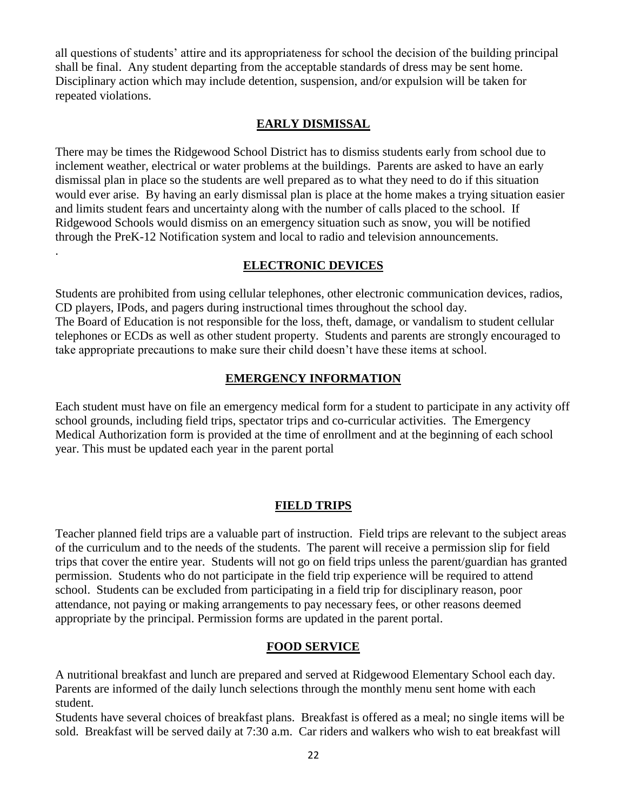all questions of students' attire and its appropriateness for school the decision of the building principal shall be final. Any student departing from the acceptable standards of dress may be sent home. Disciplinary action which may include detention, suspension, and/or expulsion will be taken for repeated violations.

#### **EARLY DISMISSAL**

There may be times the Ridgewood School District has to dismiss students early from school due to inclement weather, electrical or water problems at the buildings. Parents are asked to have an early dismissal plan in place so the students are well prepared as to what they need to do if this situation would ever arise. By having an early dismissal plan is place at the home makes a trying situation easier and limits student fears and uncertainty along with the number of calls placed to the school. If Ridgewood Schools would dismiss on an emergency situation such as snow, you will be notified through the PreK-12 Notification system and local to radio and television announcements.

#### **ELECTRONIC DEVICES**

.

Students are prohibited from using cellular telephones, other electronic communication devices, radios, CD players, IPods, and pagers during instructional times throughout the school day. The Board of Education is not responsible for the loss, theft, damage, or vandalism to student cellular telephones or ECDs as well as other student property. Students and parents are strongly encouraged to take appropriate precautions to make sure their child doesn't have these items at school.

#### **EMERGENCY INFORMATION**

Each student must have on file an emergency medical form for a student to participate in any activity off school grounds, including field trips, spectator trips and co-curricular activities. The Emergency Medical Authorization form is provided at the time of enrollment and at the beginning of each school year. This must be updated each year in the parent portal

#### **FIELD TRIPS**

Teacher planned field trips are a valuable part of instruction. Field trips are relevant to the subject areas of the curriculum and to the needs of the students. The parent will receive a permission slip for field trips that cover the entire year. Students will not go on field trips unless the parent/guardian has granted permission. Students who do not participate in the field trip experience will be required to attend school. Students can be excluded from participating in a field trip for disciplinary reason, poor attendance, not paying or making arrangements to pay necessary fees, or other reasons deemed appropriate by the principal. Permission forms are updated in the parent portal.

#### **FOOD SERVICE**

A nutritional breakfast and lunch are prepared and served at Ridgewood Elementary School each day. Parents are informed of the daily lunch selections through the monthly menu sent home with each student.

Students have several choices of breakfast plans. Breakfast is offered as a meal; no single items will be sold. Breakfast will be served daily at 7:30 a.m. Car riders and walkers who wish to eat breakfast will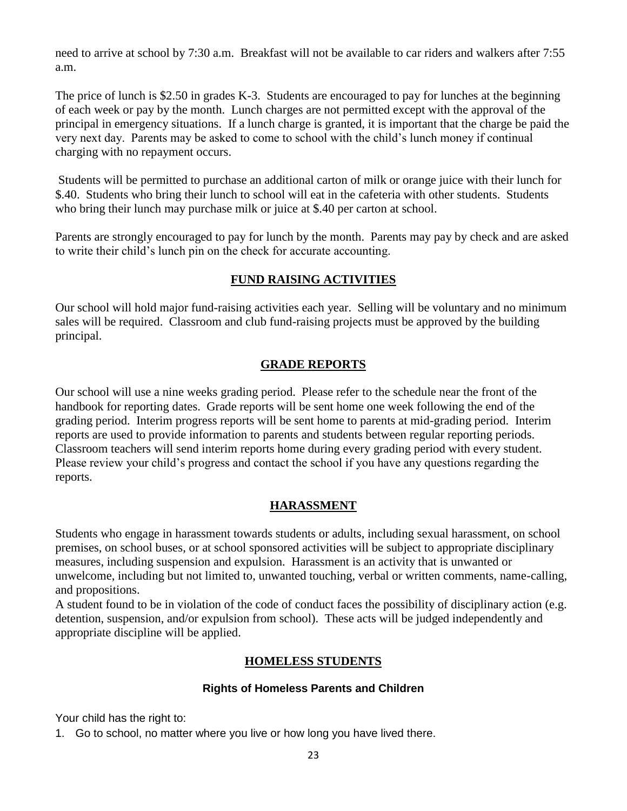need to arrive at school by 7:30 a.m. Breakfast will not be available to car riders and walkers after 7:55 a.m.

The price of lunch is \$2.50 in grades K-3. Students are encouraged to pay for lunches at the beginning of each week or pay by the month. Lunch charges are not permitted except with the approval of the principal in emergency situations. If a lunch charge is granted, it is important that the charge be paid the very next day. Parents may be asked to come to school with the child's lunch money if continual charging with no repayment occurs.

Students will be permitted to purchase an additional carton of milk or orange juice with their lunch for \$.40. Students who bring their lunch to school will eat in the cafeteria with other students. Students who bring their lunch may purchase milk or juice at \$.40 per carton at school.

Parents are strongly encouraged to pay for lunch by the month. Parents may pay by check and are asked to write their child's lunch pin on the check for accurate accounting.

## **FUND RAISING ACTIVITIES**

Our school will hold major fund-raising activities each year. Selling will be voluntary and no minimum sales will be required. Classroom and club fund-raising projects must be approved by the building principal.

## **GRADE REPORTS**

Our school will use a nine weeks grading period. Please refer to the schedule near the front of the handbook for reporting dates. Grade reports will be sent home one week following the end of the grading period. Interim progress reports will be sent home to parents at mid-grading period. Interim reports are used to provide information to parents and students between regular reporting periods. Classroom teachers will send interim reports home during every grading period with every student. Please review your child's progress and contact the school if you have any questions regarding the reports.

## **HARASSMENT**

Students who engage in harassment towards students or adults, including sexual harassment, on school premises, on school buses, or at school sponsored activities will be subject to appropriate disciplinary measures, including suspension and expulsion. Harassment is an activity that is unwanted or unwelcome, including but not limited to, unwanted touching, verbal or written comments, name-calling, and propositions.

A student found to be in violation of the code of conduct faces the possibility of disciplinary action (e.g. detention, suspension, and/or expulsion from school). These acts will be judged independently and appropriate discipline will be applied.

## **HOMELESS STUDENTS**

## **Rights of Homeless Parents and Children**

Your child has the right to:

1. Go to school, no matter where you live or how long you have lived there.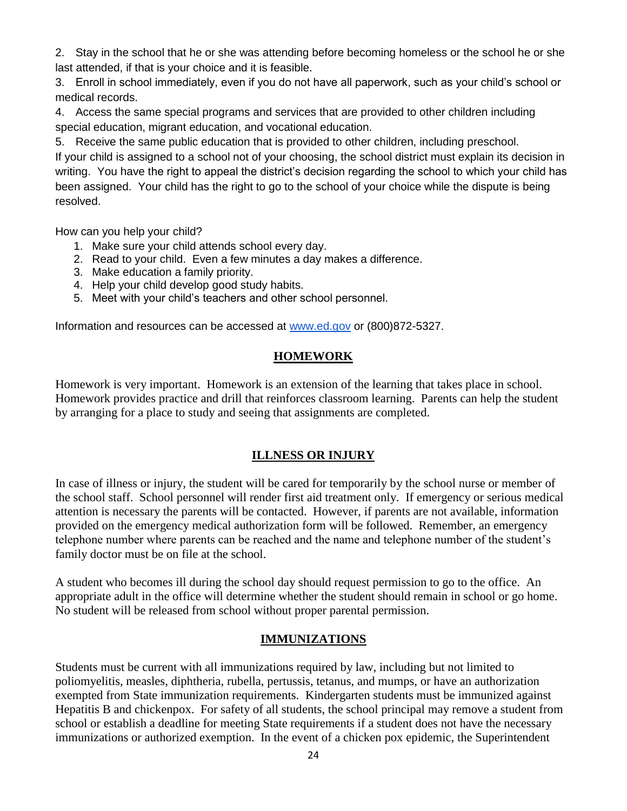2. Stay in the school that he or she was attending before becoming homeless or the school he or she last attended, if that is your choice and it is feasible.

3. Enroll in school immediately, even if you do not have all paperwork, such as your child's school or medical records.

4. Access the same special programs and services that are provided to other children including special education, migrant education, and vocational education.

5. Receive the same public education that is provided to other children, including preschool.

If your child is assigned to a school not of your choosing, the school district must explain its decision in writing. You have the right to appeal the district's decision regarding the school to which your child has been assigned. Your child has the right to go to the school of your choice while the dispute is being resolved.

How can you help your child?

- 1. Make sure your child attends school every day.
- 2. Read to your child. Even a few minutes a day makes a difference.
- 3. Make education a family priority.
- 4. Help your child develop good study habits.
- 5. Meet with your child's teachers and other school personnel.

Information and resources can be accessed a[t](http://www.ed.gov/) [www.ed.gov](http://www.ed.gov/) or (800)872-5327.

## **HOMEWORK**

Homework is very important. Homework is an extension of the learning that takes place in school. Homework provides practice and drill that reinforces classroom learning. Parents can help the student by arranging for a place to study and seeing that assignments are completed.

## **ILLNESS OR INJURY**

In case of illness or injury, the student will be cared for temporarily by the school nurse or member of the school staff. School personnel will render first aid treatment only. If emergency or serious medical attention is necessary the parents will be contacted. However, if parents are not available, information provided on the emergency medical authorization form will be followed. Remember, an emergency telephone number where parents can be reached and the name and telephone number of the student's family doctor must be on file at the school.

A student who becomes ill during the school day should request permission to go to the office. An appropriate adult in the office will determine whether the student should remain in school or go home. No student will be released from school without proper parental permission.

## **IMMUNIZATIONS**

Students must be current with all immunizations required by law, including but not limited to poliomyelitis, measles, diphtheria, rubella, pertussis, tetanus, and mumps, or have an authorization exempted from State immunization requirements. Kindergarten students must be immunized against Hepatitis B and chickenpox. For safety of all students, the school principal may remove a student from school or establish a deadline for meeting State requirements if a student does not have the necessary immunizations or authorized exemption. In the event of a chicken pox epidemic, the Superintendent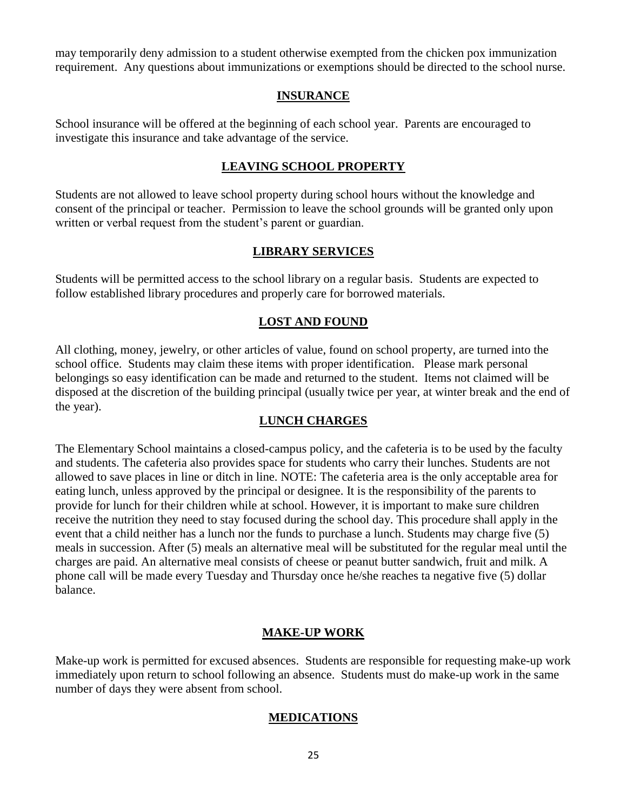may temporarily deny admission to a student otherwise exempted from the chicken pox immunization requirement. Any questions about immunizations or exemptions should be directed to the school nurse.

#### **INSURANCE**

School insurance will be offered at the beginning of each school year. Parents are encouraged to investigate this insurance and take advantage of the service.

#### **LEAVING SCHOOL PROPERTY**

Students are not allowed to leave school property during school hours without the knowledge and consent of the principal or teacher. Permission to leave the school grounds will be granted only upon written or verbal request from the student's parent or guardian.

## **LIBRARY SERVICES**

Students will be permitted access to the school library on a regular basis. Students are expected to follow established library procedures and properly care for borrowed materials.

#### **LOST AND FOUND**

All clothing, money, jewelry, or other articles of value, found on school property, are turned into the school office. Students may claim these items with proper identification. Please mark personal belongings so easy identification can be made and returned to the student. Items not claimed will be disposed at the discretion of the building principal (usually twice per year, at winter break and the end of the year).

#### **LUNCH CHARGES**

The Elementary School maintains a closed-campus policy, and the cafeteria is to be used by the faculty and students. The cafeteria also provides space for students who carry their lunches. Students are not allowed to save places in line or ditch in line. NOTE: The cafeteria area is the only acceptable area for eating lunch, unless approved by the principal or designee. It is the responsibility of the parents to provide for lunch for their children while at school. However, it is important to make sure children receive the nutrition they need to stay focused during the school day. This procedure shall apply in the event that a child neither has a lunch nor the funds to purchase a lunch. Students may charge five (5) meals in succession. After (5) meals an alternative meal will be substituted for the regular meal until the charges are paid. An alternative meal consists of cheese or peanut butter sandwich, fruit and milk. A phone call will be made every Tuesday and Thursday once he/she reaches ta negative five (5) dollar balance.

## **MAKE-UP WORK**

Make-up work is permitted for excused absences. Students are responsible for requesting make-up work immediately upon return to school following an absence. Students must do make-up work in the same number of days they were absent from school.

## **MEDICATIONS**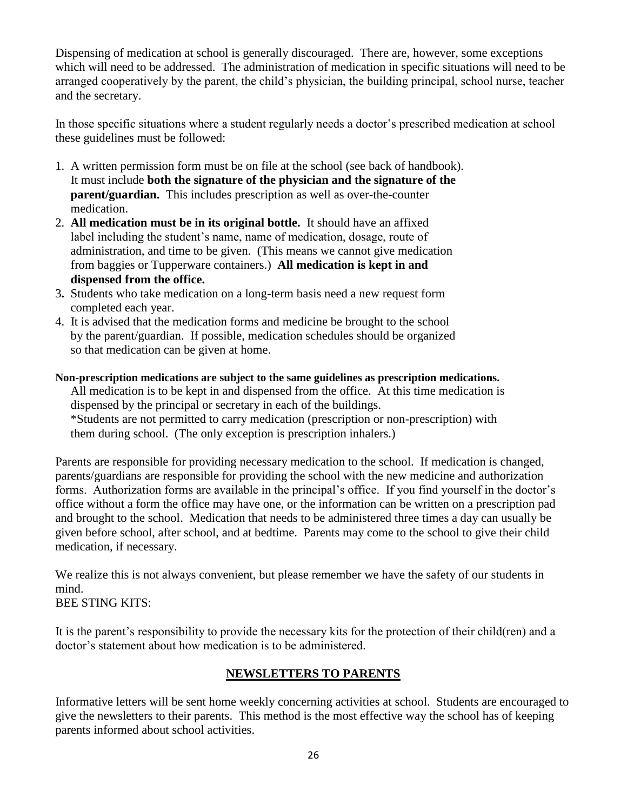Dispensing of medication at school is generally discouraged. There are, however, some exceptions which will need to be addressed. The administration of medication in specific situations will need to be arranged cooperatively by the parent, the child's physician, the building principal, school nurse, teacher and the secretary.

In those specific situations where a student regularly needs a doctor's prescribed medication at school these guidelines must be followed:

- 1. A written permission form must be on file at the school (see back of handbook). It must include **both the signature of the physician and the signature of the parent/guardian.** This includes prescription as well as over-the-counter medication.
- 2. **All medication must be in its original bottle.** It should have an affixed label including the student's name, name of medication, dosage, route of administration, and time to be given. (This means we cannot give medication from baggies or Tupperware containers.) **All medication is kept in and dispensed from the office.**
- 3**.** Students who take medication on a long-term basis need a new request form completed each year.
- 4. It is advised that the medication forms and medicine be brought to the school by the parent/guardian. If possible, medication schedules should be organized so that medication can be given at home.

#### **Non-prescription medications are subject to the same guidelines as prescription medications.**

All medication is to be kept in and dispensed from the office. At this time medication is dispensed by the principal or secretary in each of the buildings.

 \*Students are not permitted to carry medication (prescription or non-prescription) with them during school. (The only exception is prescription inhalers.)

Parents are responsible for providing necessary medication to the school. If medication is changed, parents/guardians are responsible for providing the school with the new medicine and authorization forms. Authorization forms are available in the principal's office. If you find yourself in the doctor's office without a form the office may have one, or the information can be written on a prescription pad and brought to the school. Medication that needs to be administered three times a day can usually be given before school, after school, and at bedtime. Parents may come to the school to give their child medication, if necessary.

We realize this is not always convenient, but please remember we have the safety of our students in mind. BEE STING KITS:

It is the parent's responsibility to provide the necessary kits for the protection of their child(ren) and a doctor's statement about how medication is to be administered.

## **NEWSLETTERS TO PARENTS**

Informative letters will be sent home weekly concerning activities at school. Students are encouraged to give the newsletters to their parents. This method is the most effective way the school has of keeping parents informed about school activities.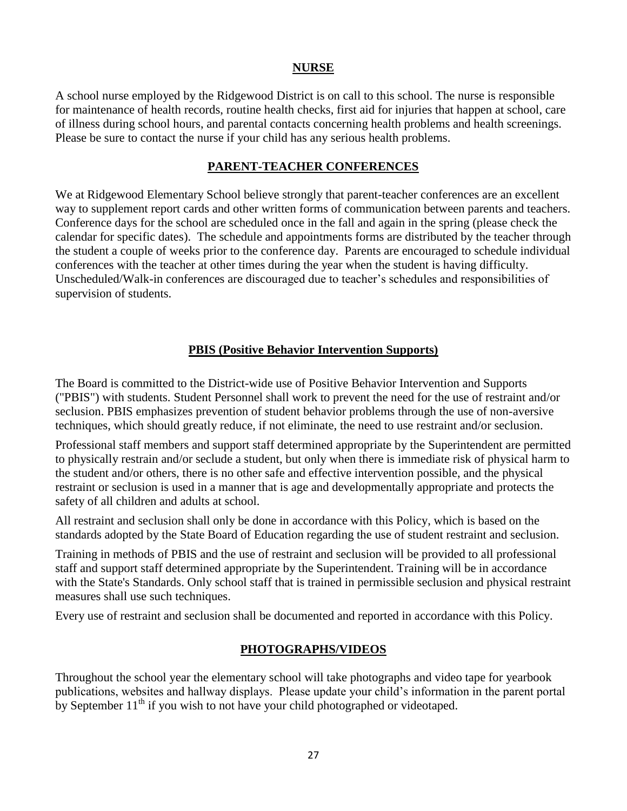#### **NURSE**

A school nurse employed by the Ridgewood District is on call to this school. The nurse is responsible for maintenance of health records, routine health checks, first aid for injuries that happen at school, care of illness during school hours, and parental contacts concerning health problems and health screenings. Please be sure to contact the nurse if your child has any serious health problems.

#### **PARENT-TEACHER CONFERENCES**

We at Ridgewood Elementary School believe strongly that parent-teacher conferences are an excellent way to supplement report cards and other written forms of communication between parents and teachers. Conference days for the school are scheduled once in the fall and again in the spring (please check the calendar for specific dates). The schedule and appointments forms are distributed by the teacher through the student a couple of weeks prior to the conference day. Parents are encouraged to schedule individual conferences with the teacher at other times during the year when the student is having difficulty. Unscheduled/Walk-in conferences are discouraged due to teacher's schedules and responsibilities of supervision of students.

## **PBIS (Positive Behavior Intervention Supports)**

The Board is committed to the District-wide use of Positive Behavior Intervention and Supports ("PBIS") with students. Student Personnel shall work to prevent the need for the use of restraint and/or seclusion. PBIS emphasizes prevention of student behavior problems through the use of non-aversive techniques, which should greatly reduce, if not eliminate, the need to use restraint and/or seclusion.

Professional staff members and support staff determined appropriate by the Superintendent are permitted to physically restrain and/or seclude a student, but only when there is immediate risk of physical harm to the student and/or others, there is no other safe and effective intervention possible, and the physical restraint or seclusion is used in a manner that is age and developmentally appropriate and protects the safety of all children and adults at school.

All restraint and seclusion shall only be done in accordance with this Policy, which is based on the standards adopted by the State Board of Education regarding the use of student restraint and seclusion.

Training in methods of PBIS and the use of restraint and seclusion will be provided to all professional staff and support staff determined appropriate by the Superintendent. Training will be in accordance with the State's Standards. Only school staff that is trained in permissible seclusion and physical restraint measures shall use such techniques.

Every use of restraint and seclusion shall be documented and reported in accordance with this Policy.

#### **PHOTOGRAPHS/VIDEOS**

Throughout the school year the elementary school will take photographs and video tape for yearbook publications, websites and hallway displays. Please update your child's information in the parent portal by September  $11<sup>th</sup>$  if you wish to not have your child photographed or videotaped.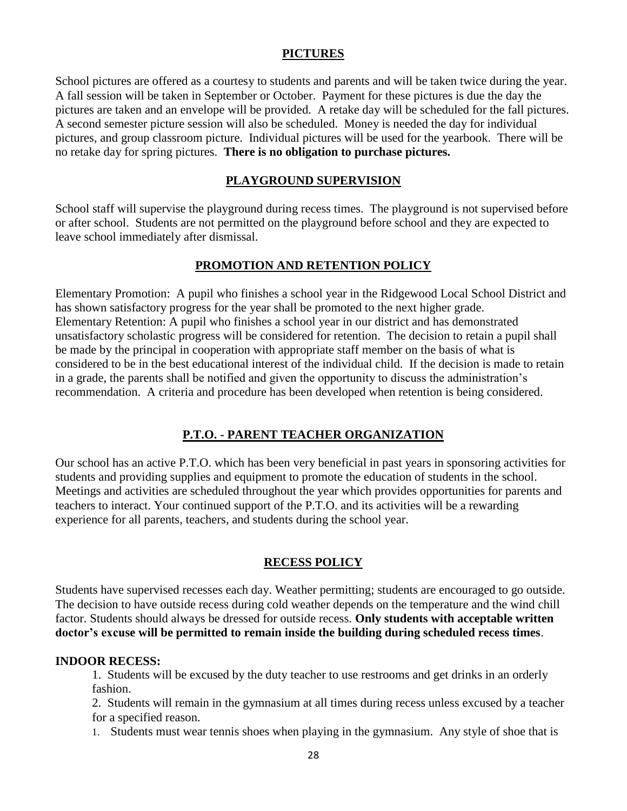#### **PICTURES**

School pictures are offered as a courtesy to students and parents and will be taken twice during the year. A fall session will be taken in September or October. Payment for these pictures is due the day the pictures are taken and an envelope will be provided. A retake day will be scheduled for the fall pictures. A second semester picture session will also be scheduled. Money is needed the day for individual pictures, and group classroom picture. Individual pictures will be used for the yearbook. There will be no retake day for spring pictures. **There is no obligation to purchase pictures.**

#### **PLAYGROUND SUPERVISION**

School staff will supervise the playground during recess times. The playground is not supervised before or after school. Students are not permitted on the playground before school and they are expected to leave school immediately after dismissal.

#### **PROMOTION AND RETENTION POLICY**

Elementary Promotion: A pupil who finishes a school year in the Ridgewood Local School District and has shown satisfactory progress for the year shall be promoted to the next higher grade. Elementary Retention: A pupil who finishes a school year in our district and has demonstrated unsatisfactory scholastic progress will be considered for retention. The decision to retain a pupil shall be made by the principal in cooperation with appropriate staff member on the basis of what is considered to be in the best educational interest of the individual child. If the decision is made to retain in a grade, the parents shall be notified and given the opportunity to discuss the administration's recommendation. A criteria and procedure has been developed when retention is being considered.

## **P.T.O. - PARENT TEACHER ORGANIZATION**

Our school has an active P.T.O. which has been very beneficial in past years in sponsoring activities for students and providing supplies and equipment to promote the education of students in the school. Meetings and activities are scheduled throughout the year which provides opportunities for parents and teachers to interact. Your continued support of the P.T.O. and its activities will be a rewarding experience for all parents, teachers, and students during the school year.

#### **RECESS POLICY**

Students have supervised recesses each day. Weather permitting; students are encouraged to go outside. The decision to have outside recess during cold weather depends on the temperature and the wind chill factor. Students should always be dressed for outside recess. **Only students with acceptable written doctor's excuse will be permitted to remain inside the building during scheduled recess times**.

#### **INDOOR RECESS:**

1. Students will be excused by the duty teacher to use restrooms and get drinks in an orderly fashion.

2. Students will remain in the gymnasium at all times during recess unless excused by a teacher for a specified reason.

1. Students must wear tennis shoes when playing in the gymnasium. Any style of shoe that is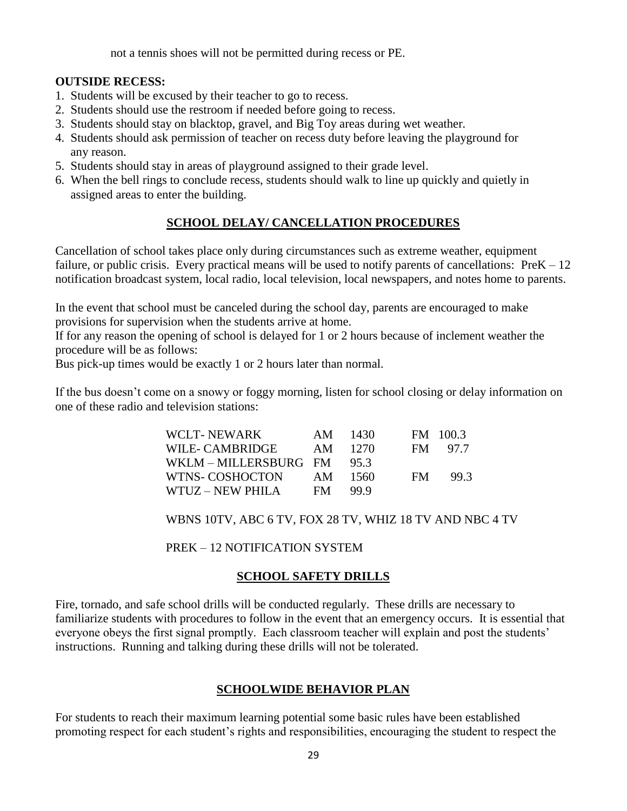not a tennis shoes will not be permitted during recess or PE.

#### **OUTSIDE RECESS:**

- 1. Students will be excused by their teacher to go to recess.
- 2. Students should use the restroom if needed before going to recess.
- 3. Students should stay on blacktop, gravel, and Big Toy areas during wet weather.
- 4. Students should ask permission of teacher on recess duty before leaving the playground for any reason.
- 5. Students should stay in areas of playground assigned to their grade level.
- 6. When the bell rings to conclude recess, students should walk to line up quickly and quietly in assigned areas to enter the building.

## **SCHOOL DELAY/ CANCELLATION PROCEDURES**

Cancellation of school takes place only during circumstances such as extreme weather, equipment failure, or public crisis. Every practical means will be used to notify parents of cancellations: PreK – 12 notification broadcast system, local radio, local television, local newspapers, and notes home to parents.

In the event that school must be canceled during the school day, parents are encouraged to make provisions for supervision when the students arrive at home.

If for any reason the opening of school is delayed for 1 or 2 hours because of inclement weather the procedure will be as follows:

Bus pick-up times would be exactly 1 or 2 hours later than normal.

If the bus doesn't come on a snowy or foggy morning, listen for school closing or delay information on one of these radio and television stations:

| WCLT-NEWARK                  |      | AM 1430 |     | FM 100.3 |
|------------------------------|------|---------|-----|----------|
| WILE- CAMBRIDGE              |      | AM 1270 |     | FM 97.7  |
| WKLM – MILLERSBURG FM $95.3$ |      |         |     |          |
| WTNS- COSHOCTON              | AM   | 1560    | FM. | 99.3     |
| WTUZ – NEW PHILA             | FM - | -99.9   |     |          |

WBNS 10TV, ABC 6 TV, FOX 28 TV, WHIZ 18 TV AND NBC 4 TV

PREK – 12 NOTIFICATION SYSTEM

## **SCHOOL SAFETY DRILLS**

Fire, tornado, and safe school drills will be conducted regularly. These drills are necessary to familiarize students with procedures to follow in the event that an emergency occurs. It is essential that everyone obeys the first signal promptly. Each classroom teacher will explain and post the students' instructions. Running and talking during these drills will not be tolerated.

#### **SCHOOLWIDE BEHAVIOR PLAN**

For students to reach their maximum learning potential some basic rules have been established promoting respect for each student's rights and responsibilities, encouraging the student to respect the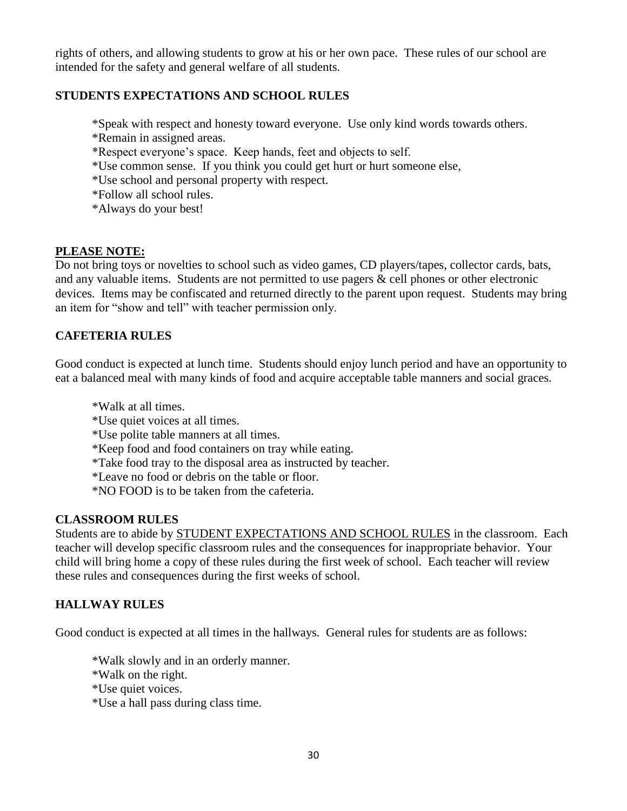rights of others, and allowing students to grow at his or her own pace. These rules of our school are intended for the safety and general welfare of all students.

## **STUDENTS EXPECTATIONS AND SCHOOL RULES**

\*Speak with respect and honesty toward everyone. Use only kind words towards others.

- \*Remain in assigned areas.
- \*Respect everyone's space. Keep hands, feet and objects to self.
- \*Use common sense. If you think you could get hurt or hurt someone else,
- \*Use school and personal property with respect.
- \*Follow all school rules.
- \*Always do your best!

## **PLEASE NOTE:**

Do not bring toys or novelties to school such as video games, CD players/tapes, collector cards, bats, and any valuable items. Students are not permitted to use pagers & cell phones or other electronic devices. Items may be confiscated and returned directly to the parent upon request. Students may bring an item for "show and tell" with teacher permission only.

## **CAFETERIA RULES**

Good conduct is expected at lunch time. Students should enjoy lunch period and have an opportunity to eat a balanced meal with many kinds of food and acquire acceptable table manners and social graces.

- \*Walk at all times.
- \*Use quiet voices at all times.
- \*Use polite table manners at all times.
- \*Keep food and food containers on tray while eating.
- \*Take food tray to the disposal area as instructed by teacher.
- \*Leave no food or debris on the table or floor.
- \*NO FOOD is to be taken from the cafeteria.

## **CLASSROOM RULES**

Students are to abide by STUDENT EXPECTATIONS AND SCHOOL RULES in the classroom. Each teacher will develop specific classroom rules and the consequences for inappropriate behavior. Your child will bring home a copy of these rules during the first week of school. Each teacher will review these rules and consequences during the first weeks of school.

## **HALLWAY RULES**

Good conduct is expected at all times in the hallways. General rules for students are as follows:

\*Walk slowly and in an orderly manner.

- \*Walk on the right.
- \*Use quiet voices.
- \*Use a hall pass during class time.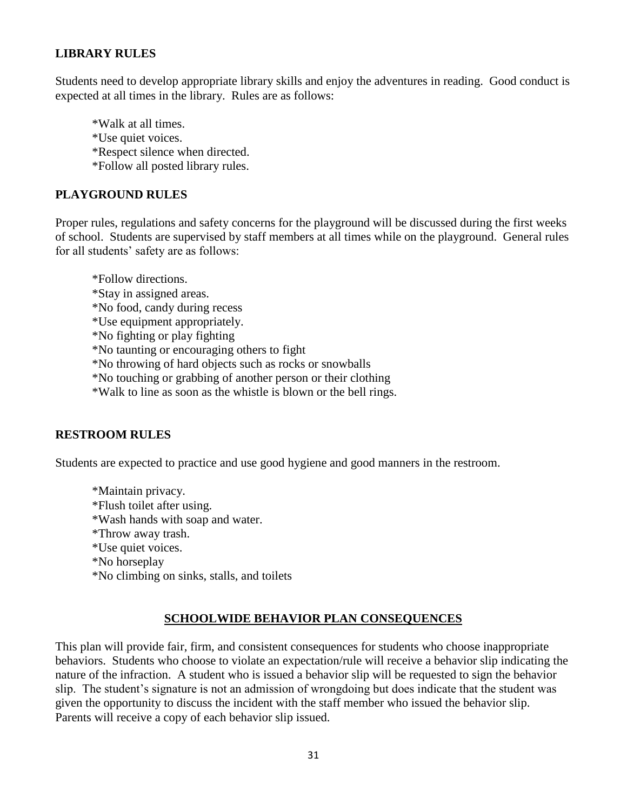## **LIBRARY RULES**

Students need to develop appropriate library skills and enjoy the adventures in reading. Good conduct is expected at all times in the library. Rules are as follows:

\*Walk at all times.

- \*Use quiet voices.
- \*Respect silence when directed.
- \*Follow all posted library rules.

## **PLAYGROUND RULES**

Proper rules, regulations and safety concerns for the playground will be discussed during the first weeks of school. Students are supervised by staff members at all times while on the playground. General rules for all students' safety are as follows:

\*Follow directions. \*Stay in assigned areas. \*No food, candy during recess \*Use equipment appropriately. \*No fighting or play fighting \*No taunting or encouraging others to fight \*No throwing of hard objects such as rocks or snowballs \*No touching or grabbing of another person or their clothing

\*Walk to line as soon as the whistle is blown or the bell rings.

## **RESTROOM RULES**

Students are expected to practice and use good hygiene and good manners in the restroom.

\*Maintain privacy. \*Flush toilet after using. \*Wash hands with soap and water. \*Throw away trash. \*Use quiet voices. \*No horseplay \*No climbing on sinks, stalls, and toilets

## **SCHOOLWIDE BEHAVIOR PLAN CONSEQUENCES**

This plan will provide fair, firm, and consistent consequences for students who choose inappropriate behaviors. Students who choose to violate an expectation/rule will receive a behavior slip indicating the nature of the infraction. A student who is issued a behavior slip will be requested to sign the behavior slip. The student's signature is not an admission of wrongdoing but does indicate that the student was given the opportunity to discuss the incident with the staff member who issued the behavior slip. Parents will receive a copy of each behavior slip issued.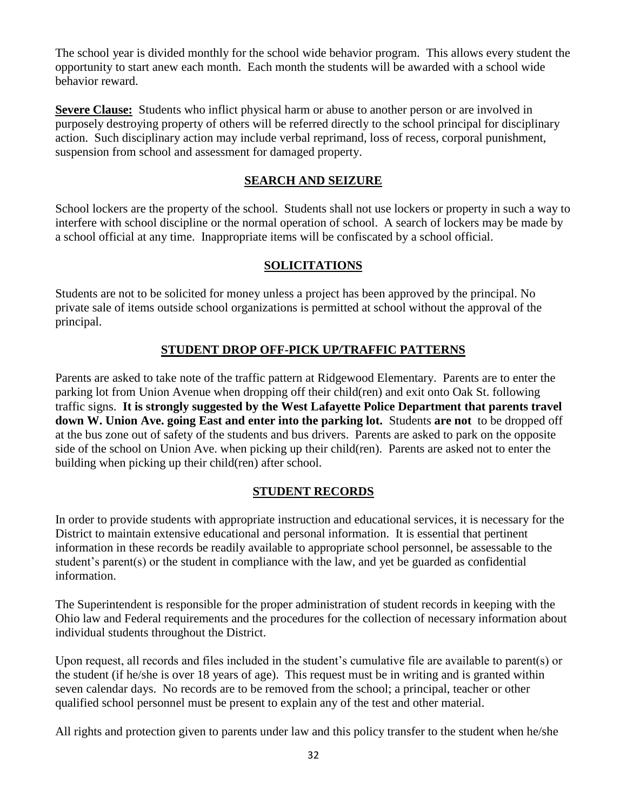The school year is divided monthly for the school wide behavior program. This allows every student the opportunity to start anew each month. Each month the students will be awarded with a school wide behavior reward.

**Severe Clause:** Students who inflict physical harm or abuse to another person or are involved in purposely destroying property of others will be referred directly to the school principal for disciplinary action. Such disciplinary action may include verbal reprimand, loss of recess, corporal punishment, suspension from school and assessment for damaged property.

#### **SEARCH AND SEIZURE**

School lockers are the property of the school. Students shall not use lockers or property in such a way to interfere with school discipline or the normal operation of school. A search of lockers may be made by a school official at any time. Inappropriate items will be confiscated by a school official.

#### **SOLICITATIONS**

Students are not to be solicited for money unless a project has been approved by the principal. No private sale of items outside school organizations is permitted at school without the approval of the principal.

## **STUDENT DROP OFF-PICK UP/TRAFFIC PATTERNS**

Parents are asked to take note of the traffic pattern at Ridgewood Elementary. Parents are to enter the parking lot from Union Avenue when dropping off their child(ren) and exit onto Oak St. following traffic signs. **It is strongly suggested by the West Lafayette Police Department that parents travel down W. Union Ave. going East and enter into the parking lot.** Students **are not** to be dropped off at the bus zone out of safety of the students and bus drivers. Parents are asked to park on the opposite side of the school on Union Ave. when picking up their child(ren). Parents are asked not to enter the building when picking up their child(ren) after school.

## **STUDENT RECORDS**

In order to provide students with appropriate instruction and educational services, it is necessary for the District to maintain extensive educational and personal information. It is essential that pertinent information in these records be readily available to appropriate school personnel, be assessable to the student's parent(s) or the student in compliance with the law, and yet be guarded as confidential information.

The Superintendent is responsible for the proper administration of student records in keeping with the Ohio law and Federal requirements and the procedures for the collection of necessary information about individual students throughout the District.

Upon request, all records and files included in the student's cumulative file are available to parent(s) or the student (if he/she is over 18 years of age). This request must be in writing and is granted within seven calendar days. No records are to be removed from the school; a principal, teacher or other qualified school personnel must be present to explain any of the test and other material.

All rights and protection given to parents under law and this policy transfer to the student when he/she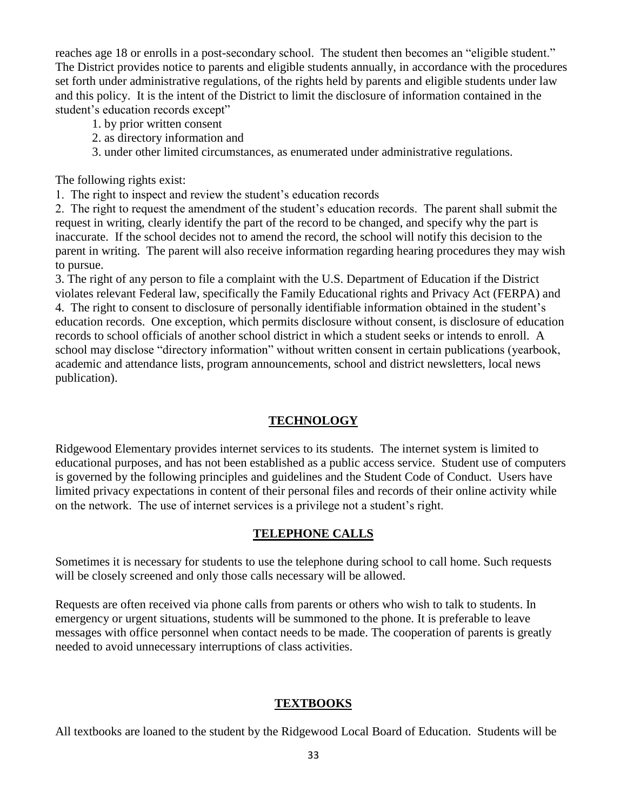reaches age 18 or enrolls in a post-secondary school. The student then becomes an "eligible student." The District provides notice to parents and eligible students annually, in accordance with the procedures set forth under administrative regulations, of the rights held by parents and eligible students under law and this policy. It is the intent of the District to limit the disclosure of information contained in the student's education records except"

- 1. by prior written consent
- 2. as directory information and
- 3. under other limited circumstances, as enumerated under administrative regulations.

The following rights exist:

1. The right to inspect and review the student's education records

2. The right to request the amendment of the student's education records. The parent shall submit the request in writing, clearly identify the part of the record to be changed, and specify why the part is inaccurate. If the school decides not to amend the record, the school will notify this decision to the parent in writing. The parent will also receive information regarding hearing procedures they may wish to pursue.

3. The right of any person to file a complaint with the U.S. Department of Education if the District violates relevant Federal law, specifically the Family Educational rights and Privacy Act (FERPA) and 4. The right to consent to disclosure of personally identifiable information obtained in the student's education records. One exception, which permits disclosure without consent, is disclosure of education records to school officials of another school district in which a student seeks or intends to enroll. A school may disclose "directory information" without written consent in certain publications (yearbook, academic and attendance lists, program announcements, school and district newsletters, local news publication).

## **TECHNOLOGY**

Ridgewood Elementary provides internet services to its students. The internet system is limited to educational purposes, and has not been established as a public access service. Student use of computers is governed by the following principles and guidelines and the Student Code of Conduct. Users have limited privacy expectations in content of their personal files and records of their online activity while on the network. The use of internet services is a privilege not a student's right.

## **TELEPHONE CALLS**

Sometimes it is necessary for students to use the telephone during school to call home. Such requests will be closely screened and only those calls necessary will be allowed.

Requests are often received via phone calls from parents or others who wish to talk to students. In emergency or urgent situations, students will be summoned to the phone. It is preferable to leave messages with office personnel when contact needs to be made. The cooperation of parents is greatly needed to avoid unnecessary interruptions of class activities.

## **TEXTBOOKS**

All textbooks are loaned to the student by the Ridgewood Local Board of Education. Students will be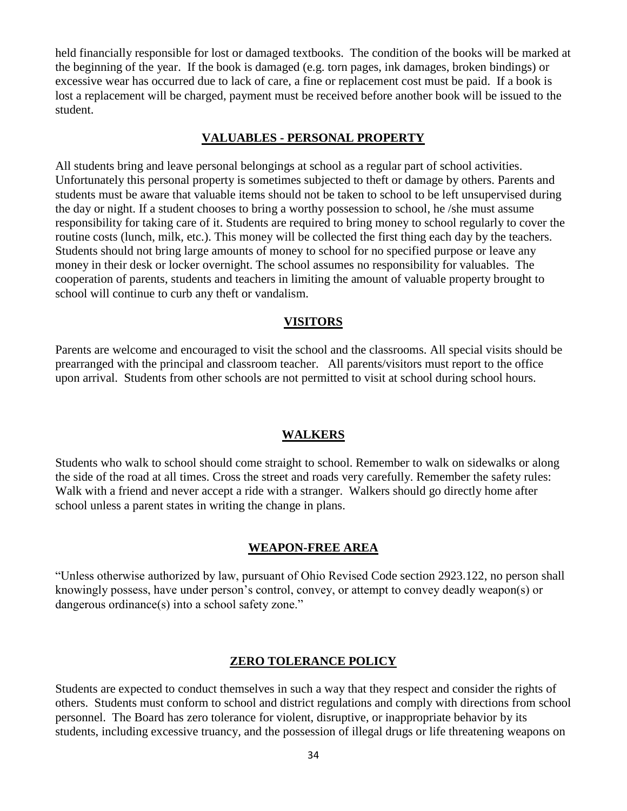held financially responsible for lost or damaged textbooks. The condition of the books will be marked at the beginning of the year. If the book is damaged (e.g. torn pages, ink damages, broken bindings) or excessive wear has occurred due to lack of care, a fine or replacement cost must be paid. If a book is lost a replacement will be charged, payment must be received before another book will be issued to the student.

#### **VALUABLES - PERSONAL PROPERTY**

All students bring and leave personal belongings at school as a regular part of school activities. Unfortunately this personal property is sometimes subjected to theft or damage by others. Parents and students must be aware that valuable items should not be taken to school to be left unsupervised during the day or night. If a student chooses to bring a worthy possession to school, he /she must assume responsibility for taking care of it. Students are required to bring money to school regularly to cover the routine costs (lunch, milk, etc.). This money will be collected the first thing each day by the teachers. Students should not bring large amounts of money to school for no specified purpose or leave any money in their desk or locker overnight. The school assumes no responsibility for valuables. The cooperation of parents, students and teachers in limiting the amount of valuable property brought to school will continue to curb any theft or vandalism.

#### **VISITORS**

Parents are welcome and encouraged to visit the school and the classrooms. All special visits should be prearranged with the principal and classroom teacher. All parents/visitors must report to the office upon arrival. Students from other schools are not permitted to visit at school during school hours.

#### **WALKERS**

Students who walk to school should come straight to school. Remember to walk on sidewalks or along the side of the road at all times. Cross the street and roads very carefully. Remember the safety rules: Walk with a friend and never accept a ride with a stranger. Walkers should go directly home after school unless a parent states in writing the change in plans.

#### **WEAPON-FREE AREA**

"Unless otherwise authorized by law, pursuant of Ohio Revised Code section 2923.122, no person shall knowingly possess, have under person's control, convey, or attempt to convey deadly weapon(s) or dangerous ordinance(s) into a school safety zone."

#### **ZERO TOLERANCE POLICY**

Students are expected to conduct themselves in such a way that they respect and consider the rights of others. Students must conform to school and district regulations and comply with directions from school personnel. The Board has zero tolerance for violent, disruptive, or inappropriate behavior by its students, including excessive truancy, and the possession of illegal drugs or life threatening weapons on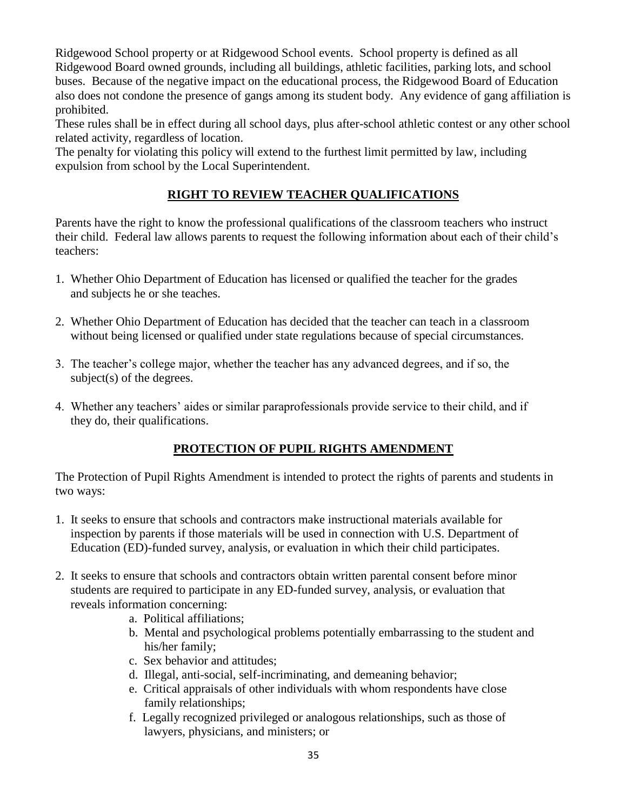Ridgewood School property or at Ridgewood School events. School property is defined as all Ridgewood Board owned grounds, including all buildings, athletic facilities, parking lots, and school buses. Because of the negative impact on the educational process, the Ridgewood Board of Education also does not condone the presence of gangs among its student body. Any evidence of gang affiliation is prohibited.

These rules shall be in effect during all school days, plus after-school athletic contest or any other school related activity, regardless of location.

The penalty for violating this policy will extend to the furthest limit permitted by law, including expulsion from school by the Local Superintendent.

## **RIGHT TO REVIEW TEACHER QUALIFICATIONS**

Parents have the right to know the professional qualifications of the classroom teachers who instruct their child. Federal law allows parents to request the following information about each of their child's teachers:

- 1. Whether Ohio Department of Education has licensed or qualified the teacher for the grades and subjects he or she teaches.
- 2. Whether Ohio Department of Education has decided that the teacher can teach in a classroom without being licensed or qualified under state regulations because of special circumstances.
- 3. The teacher's college major, whether the teacher has any advanced degrees, and if so, the subject(s) of the degrees.
- 4. Whether any teachers' aides or similar paraprofessionals provide service to their child, and if they do, their qualifications.

## **PROTECTION OF PUPIL RIGHTS AMENDMENT**

The Protection of Pupil Rights Amendment is intended to protect the rights of parents and students in two ways:

- 1. It seeks to ensure that schools and contractors make instructional materials available for inspection by parents if those materials will be used in connection with U.S. Department of Education (ED)-funded survey, analysis, or evaluation in which their child participates.
- 2. It seeks to ensure that schools and contractors obtain written parental consent before minor students are required to participate in any ED-funded survey, analysis, or evaluation that reveals information concerning:
	- a. Political affiliations;
	- b. Mental and psychological problems potentially embarrassing to the student and his/her family;
	- c. Sex behavior and attitudes;
	- d. Illegal, anti-social, self-incriminating, and demeaning behavior;
	- e. Critical appraisals of other individuals with whom respondents have close family relationships;
	- f. Legally recognized privileged or analogous relationships, such as those of lawyers, physicians, and ministers; or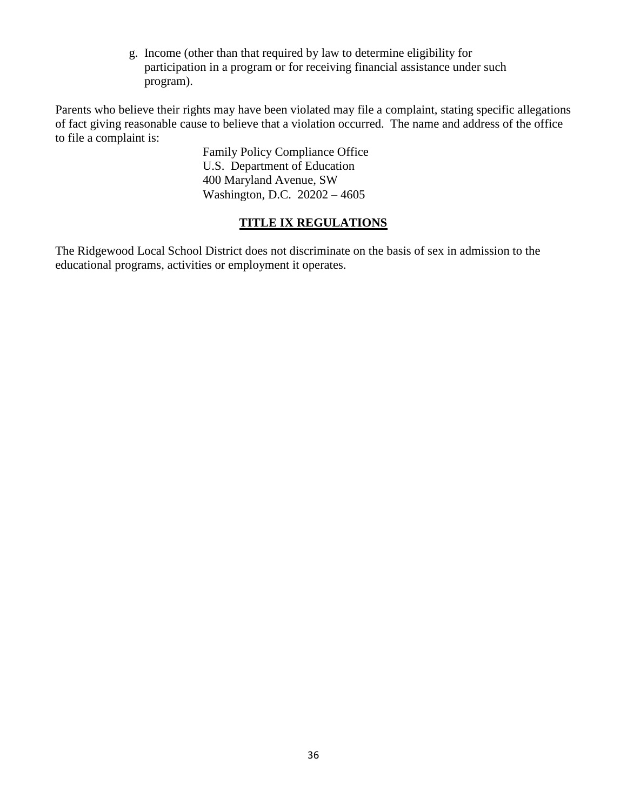g. Income (other than that required by law to determine eligibility for participation in a program or for receiving financial assistance under such program).

Parents who believe their rights may have been violated may file a complaint, stating specific allegations of fact giving reasonable cause to believe that a violation occurred. The name and address of the office to file a complaint is:

> Family Policy Compliance Office U.S. Department of Education 400 Maryland Avenue, SW Washington, D.C. 20202 – 4605

## **TITLE IX REGULATIONS**

The Ridgewood Local School District does not discriminate on the basis of sex in admission to the educational programs, activities or employment it operates.